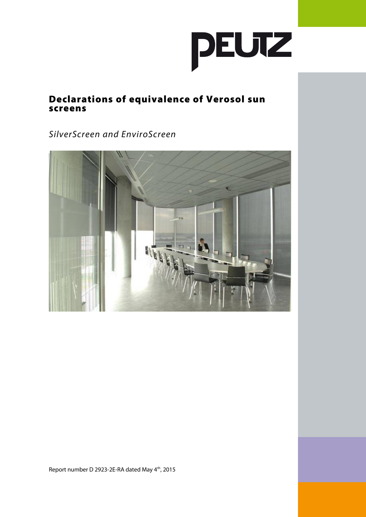

## Declarations of equivalence of Verosol sun screens

SilverScreen and EnviroScreen



Report number D 2923-2E-RA dated May 4<sup>th</sup>, 2015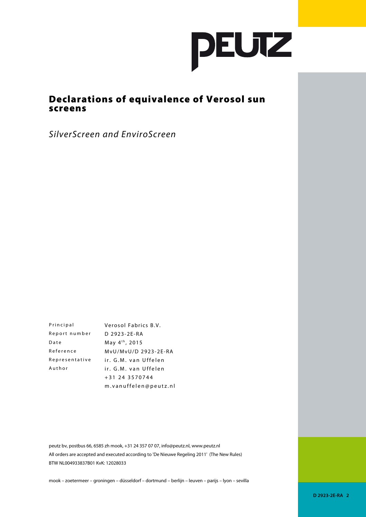

## Declarations of equivalence of Verosol sun screens

SilverScreen and EnviroScreen

| Principal      | Verosol Fabrics B.V.       |  |  |
|----------------|----------------------------|--|--|
| Report number  | D 2923-2E-RA               |  |  |
| Date           | May 4 <sup>th</sup> , 2015 |  |  |
| Reference      | MvU/MvU/D 2923-2E-RA       |  |  |
| Representative | ir. G.M. van Uffelen       |  |  |
| Author         | ir. G.M. van Uffelen       |  |  |
|                | +31 24 3570744             |  |  |
|                | m.vanuffelen@peutz.nl      |  |  |

peutz bv, postbus 66, 6585 zh mook, +31 24 357 07 07, info@peutz.nl, www.peutz.nl All orders are accepted and executed according to 'De Nieuwe Regeling 2011' (The New Rules) BTW NL004933837B01 KvK: 12028033

mook – zoetermeer – groningen – düsseldorf – dortmund – berlijn – leuven – parijs – lyon – sevilla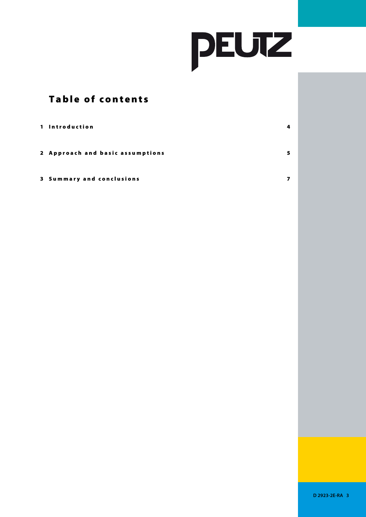

## Table of contents

| 1 Introduction                   | 4 |
|----------------------------------|---|
| 2 Approach and basic assumptions | 5 |

#### 3 Summary and conclusions and the state of the state of the state of the state of the state of the state of the state of the state of the state of the state of the state of the state of the state of the state of the state

**D 2923-2E-RA 3**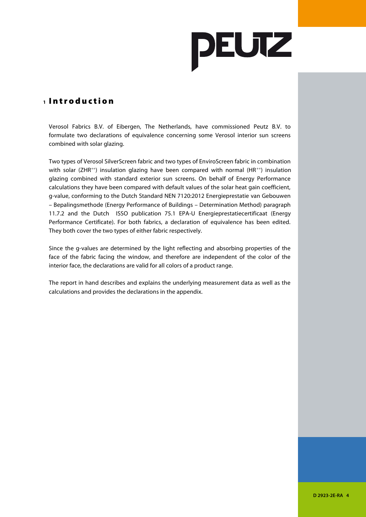

#### **<sup>1</sup>** I n t r o d u c t i o n

Verosol Fabrics B.V. of Eibergen, The Netherlands, have commissioned Peutz B.V. to formulate two declarations of equivalence concerning some Verosol interior sun screens combined with solar glazing.

Two types of Verosol SilverScreen fabric and two types of EnviroScreen fabric in combination with solar (ZHR<sup>++</sup>) insulation glazing have been compared with normal (HR<sup>++</sup>) insulation glazing combined with standard exterior sun screens. On behalf of Energy Performance calculations they have been compared with default values of the solar heat gain coefficient, g-value, conforming to the Dutch Standard NEN 7120:2012 Energieprestatie van Gebouwen – Bepalingsmethode (Energy Performance of Buildings – Determination Method) paragraph 11.7.2 and the Dutch ISSO publication 75.1 EPA-U Energieprestatiecertificaat (Energy Performance Certificate). For both fabrics, a declaration of equivalence has been edited. They both cover the two types of either fabric respectively.

Since the g-values are determined by the light reflecting and absorbing properties of the face of the fabric facing the window, and therefore are independent of the color of the interior face, the declarations are valid for all colors of a product range.

The report in hand describes and explains the underlying measurement data as well as the calculations and provides the declarations in the appendix.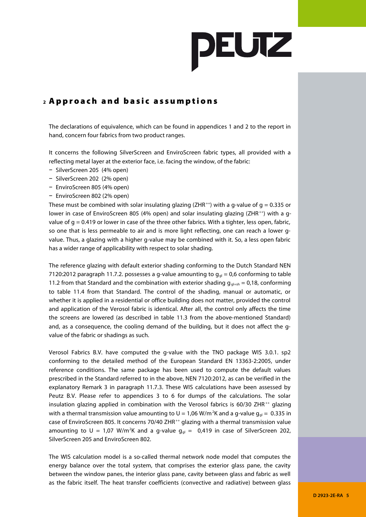

#### **<sup>2</sup>** A p p r o a c h a n d b a s i c a s s u m p t i o n s

The declarations of equivalence, which can be found in appendices 1 and 2 to the report in hand, concern four fabrics from two product ranges.

It concerns the following SilverScreen and EnviroScreen fabric types, all provided with a reflecting metal layer at the exterior face, i.e. facing the window, of the fabric:

- − SilverScreen 205 (4% open)
- − SilverScreen 202 (2% open)
- − EnviroScreen 805 (4% open)
- − EnviroScreen 802 (2% open)

These must be combined with solar insulating glazing (ZHR<sup>++</sup>) with a g-value of  $q = 0.335$  or lower in case of EnviroScreen 805 (4% open) and solar insulating glazing (ZHR<sup>++</sup>) with a gvalue of  $q = 0.419$  or lower in case of the three other fabrics. With a tighter, less open, fabric, so one that is less permeable to air and is more light reflecting, one can reach a lower gvalue. Thus, a glazing with a higher g-value may be combined with it. So, a less open fabric has a wider range of applicability with respect to solar shading.

The reference glazing with default exterior shading conforming to the Dutch Standard NEN 7120:2012 paragraph 11.7.2. possesses a g-value amounting to  $g_{gl} = 0.6$  conforming to table 11.2 from that Standard and the combination with exterior shading  $g_{gl+sh} = 0.18$ , conforming to table 11.4 from that Standard. The control of the shading, manual or automatic, or whether it is applied in a residential or office building does not matter, provided the control and application of the Verosol fabric is identical. After all, the control only affects the time the screens are lowered (as described in table 11.3 from the above-mentioned Standard) and, as a consequence, the cooling demand of the building, but it does not affect the gvalue of the fabric or shadings as such.

Verosol Fabrics B.V. have computed the g-value with the TNO package WIS 3.0.1. sp2 conforming to the detailed method of the European Standard EN 13363-2:2005, under reference conditions. The same package has been used to compute the default values prescribed in the Standard referred to in the above, NEN 7120:2012, as can be verified in the explanatory Remark 3 in paragraph 11.7.3. These WIS calculations have been assessed by Peutz B.V. Please refer to appendices 3 to 6 for dumps of the calculations. The solar insulation glazing applied in combination with the Verosol fabrics is  $60/30$  ZHR<sup>++</sup> glazing with a thermal transmission value amounting to  $U = 1.06$  W/m<sup>2</sup>K and a g-value  $q_{\text{gl}} = 0.335$  in case of EnviroScreen 805. It concerns 70/40 ZHR<sup>++</sup> glazing with a thermal transmission value amounting to U = 1,07 W/m<sup>2</sup>K and a g-value  $g_{ql} = 0.419$  in case of SilverScreen 202, SilverScreen 205 and EnviroScreen 802.

The WIS calculation model is a so-called thermal network node model that computes the energy balance over the total system, that comprises the exterior glass pane, the cavity between the window panes, the interior glass pane, cavity between glass and fabric as well as the fabric itself. The heat transfer coefficients (convective and radiative) between glass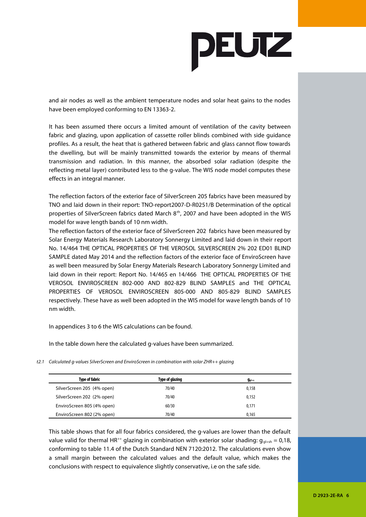

and air nodes as well as the ambient temperature nodes and solar heat gains to the nodes have been employed conforming to EN 13363-2.

It has been assumed there occurs a limited amount of ventilation of the cavity between fabric and glazing, upon application of cassette roller blinds combined with side guidance profiles. As a result, the heat that is gathered between fabric and glass cannot flow towards the dwelling, but will be mainly transmitted towards the exterior by means of thermal transmission and radiation. In this manner, the absorbed solar radiation (despite the reflecting metal layer) contributed less to the g-value. The WIS node model computes these effects in an integral manner.

The reflection factors of the exterior face of SilverScreen 205 fabrics have been measured by TNO and laid down in their report: TNO-report2007-D-R0251/B Determination of the optical properties of SilverScreen fabrics dated March 8<sup>th</sup>, 2007 and have been adopted in the WIS model for wave length bands of 10 nm width.

The reflection factors of the exterior face of SilverScreen 202 fabrics have been measured by Solar Energy Materials Research Laboratory Sonnergy Limited and laid down in their report No. 14/464 THE OPTICAL PROPERTIES OF THE VEROSOL SILVERSCREEN 2% 202 ED01 BLIND SAMPLE dated May 2014 and the reflection factors of the exterior face of EnviroScreen have as well been measured by Solar Energy Materials Research Laboratory Sonnergy Limited and laid down in their report: Report No. 14/465 en 14/466 THE OPTICAL PROPERTIES OF THE VEROSOL ENVIROSCREEN 802-000 AND 802-829 BLIND SAMPLES and THE OPTICAL PROPERTIES OF VEROSOL ENVIROSCREEN 805-000 AND 805-829 BLIND SAMPLES respectively. These have as well been adopted in the WIS model for wave length bands of 10 nm width.

In appendices 3 to 6 the WIS calculations can be found.

In the table down here the calculated g-values have been summarized.

t2.1 Calculated g-values SilverScreen and EnviroScreen in combination with solar ZHR++ glazing

| <b>Type of fabric</b>      | Type of glazing | $g_{q1+s}$ |
|----------------------------|-----------------|------------|
| SilverScreen 205 (4% open) | 70/40           | 0,158      |
| SilverScreen 202 (2% open) | 70/40           | 0,152      |
| EnviroScreen 805 (4% open) | 60/30           | 0,171      |
| EnviroScreen 802 (2% open) | 70/40           | 0,165      |

This table shows that for all four fabrics considered, the g-values are lower than the default value valid for thermal HR<sup>++</sup> glazing in combination with exterior solar shading:  $q_{q+sh} = 0.18$ , conforming to table 11.4 of the Dutch Standard NEN 7120:2012. The calculations even show a small margin between the calculated values and the default value, which makes the conclusions with respect to equivalence slightly conservative, i.e on the safe side.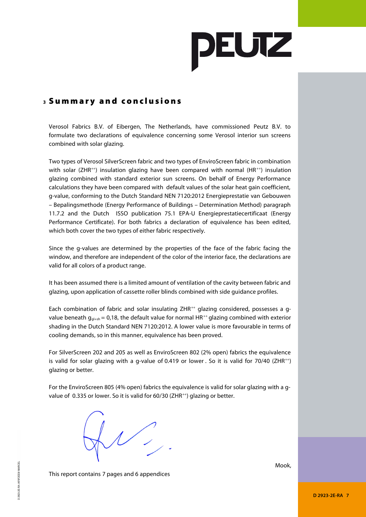

### **<sup>3</sup>** S u m m a r y a n d c o n c l u s i o n s

Verosol Fabrics B.V. of Eibergen, The Netherlands, have commissioned Peutz B.V. to formulate two declarations of equivalence concerning some Verosol interior sun screens combined with solar glazing.

Two types of Verosol SilverScreen fabric and two types of EnviroScreen fabric in combination with solar (ZHR<sup>++</sup>) insulation glazing have been compared with normal (HR<sup>++</sup>) insulation glazing combined with standard exterior sun screens. On behalf of Energy Performance calculations they have been compared with default values of the solar heat gain coefficient, g-value, conforming to the Dutch Standard NEN 7120:2012 Energieprestatie van Gebouwen – Bepalingsmethode (Energy Performance of Buildings – Determination Method) paragraph 11.7.2 and the Dutch ISSO publication 75.1 EPA-U Energieprestatiecertificaat (Energy Performance Certificate). For both fabrics a declaration of equivalence has been edited, which both cover the two types of either fabric respectively.

Since the g-values are determined by the properties of the face of the fabric facing the window, and therefore are independent of the color of the interior face, the declarations are valid for all colors of a product range.

It has been assumed there is a limited amount of ventilation of the cavity between fabric and glazing, upon application of cassette roller blinds combined with side guidance profiles.

Each combination of fabric and solar insulating ZHR<sup>++</sup> glazing considered, possesses a gvalue beneath  $g_{q+sh} = 0.18$ , the default value for normal HR<sup>++</sup> glazing combined with exterior shading in the Dutch Standard NEN 7120:2012. A lower value is more favourable in terms of cooling demands, so in this manner, equivalence has been proved.

For SilverScreen 202 and 205 as well as EnviroScreen 802 (2% open) fabrics the equivalence is valid for solar glazing with a g-value of 0.419 or lower. So it is valid for 70/40 (ZHR<sup>++</sup>) glazing or better.

For the EnviroScreen 805 (4% open) fabrics the equivalence is valid for solar glazing with a gvalue of 0.335 or lower. So it is valid for 60/30 (ZHR<sup>++</sup>) glazing or better.

 $\bigvee$ 

Mook,

This report contains 7 pages and 6 appendices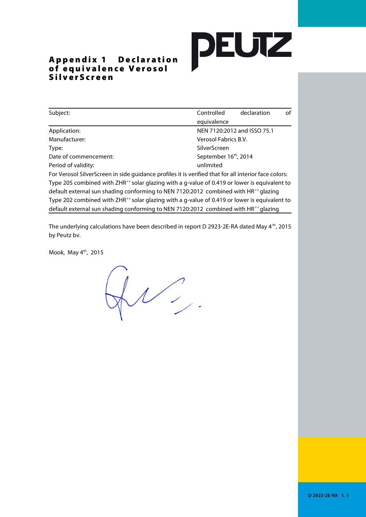## **DEUTZ**

#### Appendix 1 Declaration of equivalence Verosol SilverScreen

| Subject:                                                                                             | Controlled<br>declaration         | of |  |  |
|------------------------------------------------------------------------------------------------------|-----------------------------------|----|--|--|
|                                                                                                      | equivalence                       |    |  |  |
| Application:                                                                                         | NEN 7120:2012 and ISSO 75.1       |    |  |  |
| Manufacturer:<br>Verosol Fabrics B.V.                                                                |                                   |    |  |  |
| SilverScreen<br>Type:                                                                                |                                   |    |  |  |
| Date of commencement:                                                                                | September 16 <sup>th</sup> , 2014 |    |  |  |
| Period of validity:                                                                                  | unlimited                         |    |  |  |
| For Verosol SilverScreen in side guidance profiles it is verified that for all interior face colors: |                                   |    |  |  |
|                                                                                                      |                                   |    |  |  |

Type 205 combined with ZHR<sup>++</sup> solar glazing with a g-value of 0.419 or lower is equivalent to default external sun shading conforming to NEN 7120:2012 combined with HR<sup>++</sup> glazing Type 202 combined with ZHR<sup>++</sup> solar glazing with a g-value of 0.419 or lower is equivalent to default external sun shading conforming to NEN 7120:2012 combined with HR<sup>++</sup> glazing

The underlying calculations have been described in report D 2923-2E-RA dated May 4<sup>th</sup>, 2015 by Peutz bv.

Mook, May 4th, 2015

 $\n *W* 2$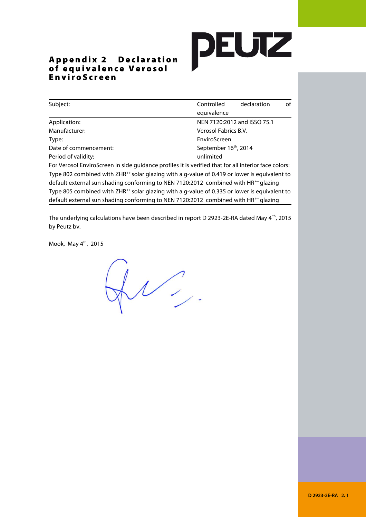# **DEUTZ**

#### Appendix 2 Declaration of equivalence Verosol E n v i r o S c r e e n

| Subject:                                                                                                 | Controlled                                                                                               | declaration | of |  |  |
|----------------------------------------------------------------------------------------------------------|----------------------------------------------------------------------------------------------------------|-------------|----|--|--|
|                                                                                                          | equivalence                                                                                              |             |    |  |  |
| Application:                                                                                             | NEN 7120:2012 and ISSO 75.1                                                                              |             |    |  |  |
| Manufacturer:                                                                                            | Verosol Fabrics B.V.                                                                                     |             |    |  |  |
| Type:                                                                                                    | EnviroScreen                                                                                             |             |    |  |  |
| September 16 <sup>th</sup> , 2014<br>Date of commencement:                                               |                                                                                                          |             |    |  |  |
| Period of validity:                                                                                      | unlimited                                                                                                |             |    |  |  |
| For Verosol EnviroScreen in side quidance profiles it is verified that for all interior face colors:     |                                                                                                          |             |    |  |  |
| Type 802 combined with ZHR <sup>++</sup> solar glazing with a g-value of 0.419 or lower is equivalent to |                                                                                                          |             |    |  |  |
| default external sun shading conforming to NEN 7120:2012 combined with HR <sup>++</sup> glazing          |                                                                                                          |             |    |  |  |
|                                                                                                          | Type 805 combined with ZHR <sup>++</sup> solar glazing with a g-value of 0.335 or lower is equivalent to |             |    |  |  |
| default external sun shading conforming to NEN 7120:2012 combined with HR <sup>++</sup> glazing          |                                                                                                          |             |    |  |  |

The underlying calculations have been described in report D 2923-2E-RA dated May 4<sup>th</sup>, 2015 by Peutz bv.

Mook, May 4<sup>th</sup>, 2015

 $QU$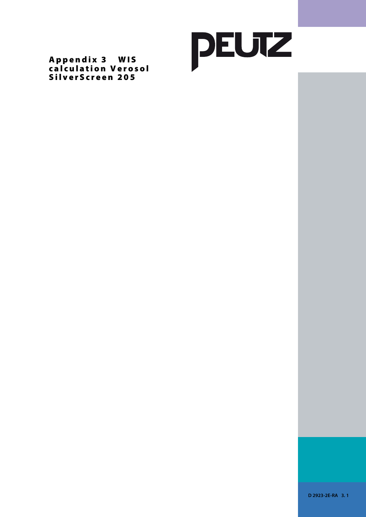

Appendix 3 WIS calculation Verosol SilverScreen 205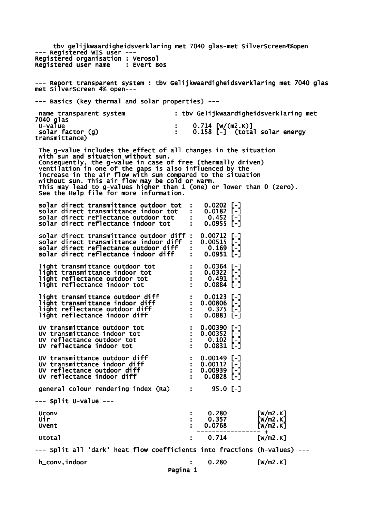tbv gelijkwaardigheidsverklaring met 7040 glas-met SilverScreen4%open --- Registered WIS user --- Registered organisation : Verosol<br>Registered user name : Evert Bos Registered user name --- Report transparent system : tbv Gelijkwaardigheidsverklaring met 7040 glas met SilverScreen 4% open--- --- Basics (key thermal and solar properties) -- name transparent system : tbv Gelijkwaardigheidsverklaring met 7040 glas<br>U-value U-value : 0.714 [W/(m2.K)] solar factor (g) : 0.158 [-] (total solar energy solar factor (g)<br>transmittance) The g-value includes the effect of all changes in the situation with sun and situation without sun. Consequently, the g-value in case of free (thermally driven) ventilation in one of the gaps is also influenced by the increase in the air flow with sun compared to the situation without sun. This air flow may be cold or warm. This may lead to g-values higher than 1 (one) or lower than 0 (zero). See the Help file for more information. solar direct transmittance outdoor tot : 0.0202 [-]<br>solar direct transmittance indoor tot : 0.0182 [-]<br>solar direct reflectance outdoor tot : 0.452 [-] solar direct transmittance indoor tot : 0.0182<br>solar direct reflectance outdoor tot : 0.452 solar direct reflectance outdoor tot : 0.452 [-] solar direct reflectance indoor tot : 0.0955 [-] solar direct transmittance outdoor diff : 0.00712 [-]<br>solar direct transmittance indoor diff : 0.00515 [-] solar direct transmittance indoor diff : 0.00515<br>solar direct reflectance outdoor diff : 0.169 solar direct reflectance outdoor diff : 0.169 [-] solar direct reflectance indoor diff : 0.0951 [-] light transmittance outdoor tot : 0.0364 [-]<br>light transmittance indoor tot : 0.0322 [-]<br>light reflectance outdoor tot : 0.491 [-]  $\frac{1}{9}$  ight transmittance indoor tot  $\frac{1}{9}$ : 0.0322<br>19.491 [-1]  $\frac{1}{9}$  light reflectance outdoor tot : 0.491 [-] light reflectance indoor tot : light transmittance outdoor diff : 0.0123 [-] light transmittance indoor diff  $\qquad \qquad : \quad 0.00806$  [-] light reflectance outdoor diff : 0.375 [-] light reflectance indoor diff : 0.0883 [-] UV transmittance outdoor tot : 0.00390 [-] UV transmittance indoor tot : 0.00352 [-] UV transmittance outdoor tot : 0.00390 [-]<br>
UV transmittance indoor tot : 0.00352 [-]<br>
UV reflectance outdoor tot : 0.102 [-]<br>
UV reflectance indoor tot : 0.0831 [-] UV reflectance indoor tot : 0.0831 individuals UV transmittance outdoor diff  $\qquad \qquad : \quad 0.00149$  [-] UV transmittance indoor diff : 0.00112 [-] UV reflectance outdoor diff  $\cdot$  : 0.00939 [-] UV reflectance indoor diff  $\cdot$  : 0.0828 [-] qeneral colour rendering index (Ra) : 95.0 [-] --- Split U-value --- Uconv : 0.280 [W/m2.K] Uir : 0.357 [W/m2.K] Uvent : 0.0768 [W/m2.K] ----------------- + Utotal : 0.714 [W/m2.K] --- Split all 'dark' heat flow coefficients into fractions (h-values) -- h\_conv,indoor : 0.280 [W/m2.K] Pagina 1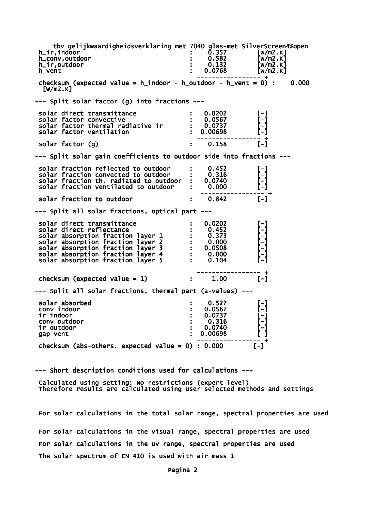tbv gelijkwaardigheidsverklaring met 7040 glas-met SilverScreen4%open<br>i 0.357 [w/m2.K] h\_ir,indoor : 0.357 [W/m2.K] h\_conv,outdoor : 0.582 [W/m2.K] h\_ir,outdoor : 0.132 [W/m2.K] h\_vent : -0.0768 [W/m2.K] ----------------- + checksum (expected value =  $h$ \_indoor -  $h$ \_outdoor -  $h$ \_vent = 0) : 0.000  $\lceil W/m2.K\rceil$ --- Split solar factor (g) into fractions -- solar direct transmittance  $\qquad \qquad : \qquad 0.0202$  [-] solar factor convective : 0.0567 [-] solar factor thermal radiative ir : 0.0737 [-] solar factor ventilation : 0.00698 ----------------- +  $solar$  factor  $(g)$   $\qquad \qquad$  : 0.158 --- Split solar gain coefficients to outdoor side into fractions -- solar fraction reflected to outdoor : 0.452<br>solar fraction convected to outdoor : 0.316  $solar$  fraction convected to outdoor  $: 0.316$ <br> $solar$  fraction th. radiated to outdoor  $: 0.0740$ solar fraction th. radiated to outdoor : 0.0740<br>solar fraction ventilated to outdoor : 0.000 solar fraction ventilated to outdoor ----------------- + solar fraction to outdoor  $\qquad \qquad : \qquad 0.842$  [-] --- Split all solar fractions, optical part -- solar direct transmittance : 0.0202 [-] solar direct reflectance : 0.452<br>solar absorption fraction layer 1 : 0.373 solar absorption fraction layer 1 : 0.373<br>solar absorption fraction layer 2 : 0.000 solar absorption fraction layer 2 : 0.000 [-] solar absorption fraction layer 3 : 0.0508 [-] solar absorption fraction layer 4 : 0.000 [-] solar absorption fraction layer  $5$  : 0.104 ----------------- + checksum (expected value = 1)  $\qquad \qquad$  :  $\qquad 1.00$  [-] --- Split all solar fractions, thermal part (a-values) -- solar absorbed : 0.527 [-] conv indoor : 0.0567 [-]  $\text{ir } \text{indoor}$  : 0.0737 conv outdoor : 0.316 [-] ir outdoor : 0.0740 [-] gap vent ----------------- + checksum (abs-others. expected value =  $0$ ) : 0.000 [-]

--- Short description conditions used for calculations ---

 Calculated using setting: No restrictions (expert level) Therefore results are calculated using user selected methods and settings

 For solar calculations in the total solar range, spectral properties are used For solar calculations in the visual range, spectral properties are used For solar calculations in the uv range, spectral properties are used The solar spectrum of EN 410 is used with air mass 1

Pagina 2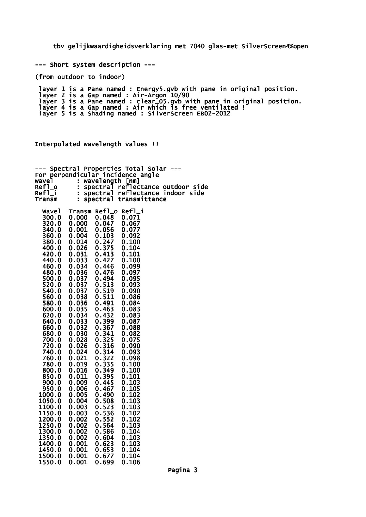tbv gelijkwaardigheidsverklaring met 7040 glas-met SilverScreen4%open

--- Short system description ---

(from outdoor to indoor)

 layer 1 is a Pane named : Energy5.gvb with pane in original position. layer 2 is a Gap named : Air-Argon 10/90 layer 3 is a Pane named : clear\_05.gvb with pane in original position. layer 4 is a Gap named : Air which is free ventilated ! layer 5 is a Shading named : SilverScreen EB02-2012

Interpolated wavelength values !!

|                  | Spectral       |                 | Properties Total Solar        |  |
|------------------|----------------|-----------------|-------------------------------|--|
| For<br>wavel     | ÷              | wavelength [nm] | perpendicular incidence angle |  |
| Ref1_o           | Ĩ.             | spectral        | reflectance outdoor side      |  |
| Refl_i           | Ì,             | spectral        | reflectance indoor side       |  |
| Transm           | ÷              | spectral        | transmittance                 |  |
|                  |                |                 |                               |  |
| <b>Wavel</b>     |                | Transm Refl_o   | Refl_i                        |  |
| 300.0            | 0.000          | 0.048           | 0.071                         |  |
| 320.0            | 0.000          | 0.047           | 0.067                         |  |
| 340.0<br>360.0   | 0.001<br>0.004 | 0.056<br>0.103  | 0.077<br>0.092                |  |
| 380.0            | 0.014          | 0.247           | 0.100                         |  |
| 400.0            | 0.026          | 0.375           | 0.104                         |  |
| 420.0            | 0.031          | 0.413           | 0.101                         |  |
| 440.0            | 0.033          | 0.427           | 0.100                         |  |
| 460.0            | 0.034          | 0.446           | 0.099                         |  |
| 480.0            | 0.036          | 0.476           | 0.097                         |  |
| 500.0            | 0.037          | 0.494           | 0.095                         |  |
| 520.0            | 0.037          | 0.513           | 0.093                         |  |
| 540.0            | 0.037          | 0.519<br>0.511  | 0.090                         |  |
| 560.0<br>580.0   | 0.038<br>0.036 | 0.491           | 0.086<br>0.084                |  |
| 600.0            | 0.035          | 0.463           | 0.083                         |  |
| 620.0            | 0.034          | 0.432           | 0.083                         |  |
| 640.0            | 0.033          | 0.399           | 0.087                         |  |
| 660.0            | 0.032          | 0.367           | 0.088                         |  |
| 680.0            | 0.030          | 0.341           | 0.082                         |  |
| 700.0            | 0.028          | 0.325           | 0.075                         |  |
| 720.0            | 0.026          | 0.316           | 0.090                         |  |
| 740.0<br>760.0   | 0.024<br>0.021 | 0.314<br>0.322  | 0.093<br>0.098                |  |
| 780.0            | 0.019          | 0.335           | 0.100                         |  |
| 800.0            | 0.016          | 0.349           | 0.100                         |  |
| 850.0            | 0.011          | 0.395           | 0.101                         |  |
| 900.0            | 0.009          | 0.445           | 0.103                         |  |
| 950.0            | 0.006          | 0.467           | 0.105                         |  |
| 1000.0           | 0.005          | 0.490           | 0.102                         |  |
| 1050.0           | 0.004          | 0.508           | 0.103                         |  |
| 1100.0           | 0.003<br>0.003 | 0.523<br>0.536  | 0.103                         |  |
| 1150.0<br>1200.0 | 0.002          | 0.552           | 0.102<br>0.102                |  |
| 1250.0           | 0.002          | 0.564           | 0.103                         |  |
| 1300.0           | 0.002          | 0.586           | 0.104                         |  |
| 1350.0           | 0.002          | 0.604           | 0.103                         |  |
| 1400.0           | 0.001          | 0.623           | 0.103                         |  |
| 1450.0           | 0.001          | 0.653           | 0.104                         |  |
| 1500.0           | 0.001          | 0.677           | 0.104                         |  |
| 1550.0           | 0.001          | 0.699           | 0.106                         |  |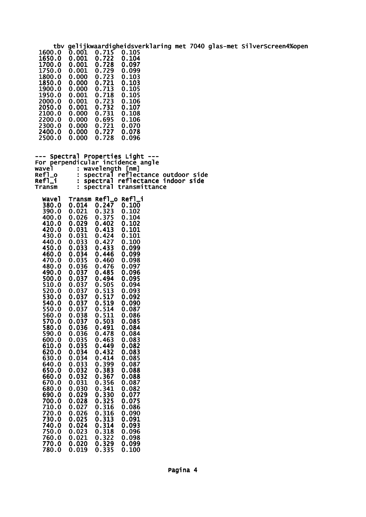tbv gelijkwaardigheidsverklaring met 7040 glas-met SilverScreen4%open<br>1600.0 0.001 0.715 0.105<br>1650.0 0.001 0.722 0.104  $0.001$   $0.715$  0.105<br>0.001 0.722 0.104 1650.0 0.001 0.722 0.104 0.001 0.722 0.104<br>0.001 0.728 0.097<br>0.001 0.729 0.099 1750.0 0.001 0.729 0.099 1800.0 0.000 0.723 0.103<br>1850.0 0.000 0.721 0.103<br>1900.0 0.000 0.713 0.105 1850.0 0.000 0.721 0.103 1900.0 0.000 0.713 0.105 1950.0 0.001 0.718 0.105 2000.0 0.001 0.723 0.106 2050.0 0.001 0.732 0.107 2050.0 0.001 0.732<br>2100.0 0.000 0.731<br>2200.0 0.000 0.695 2100.0 0.000 0.731 0.108<br>2200.0 0.000 0.695 0.106<br>2300.0 0.000 0.721 0.070 0.000 0.721 0.070<br>0.000 0.727 0.078 2400.0 0.000 0.727 0.078 2500.0 --- Spectral Properties Light ---For perpendicular incidence angle<br>wavel : wavelength [nm] wavel : wavelength [nm] Refl\_o : spectral reflectance outdoor side Refl\_i : spectral reflectance indoor side Transm : spectral transmittance Wavel Transm Refl\_o Refl\_i 380.0 0.014 0.247 0.100 390.0 0.021 0.323 0.102 0.026 0.375<br>0.029 0.402 410.0 0.029 0.402 0.102 420.0 0.031 0.413 0.101 430.0 0.031 0.424 0.101 440.0 0.033 0.427 0.100 450.0 0.033 0.433 0.099 460.0 0.034 0.446 0.099 470.0 0.035 0.460 0.098 480.0 0.036 0.476 0.097 490.0 0.037 0.485 0.096 500.0 0.037 0.494 0.095 510.0 0.037 0.505 0.094 520.0 0.037 0.513 0.093 530.0 0.037 0.517 0.092 540.0 0.037 0.519 0.090 550.0 0.037 0.514 0.087 560.0 0.038 0.511 0.086 570.0 0.037 0.503 0.085 580.0 0.036 0.491 0.084 590.0 0.036 0.478 0.084 600.0 0.035 0.463 0.083 610.0 0.035 0.449 0.082 620.0 0.034 0.432 0.083 630.0 0.034 0.414 0.085 640.0 0.033 0.399 0.087 650.0 0.032 0.383 0.088 660.0 0.032 0.367 0.088<br>670.0 0.031 0.356 0.087<br>680.0 0.030 0.341 0.082 670.0 0.031 0.356 0.087 680.0 0.030 0.341 0.082 690.0 0.029 0.330 0.077 700.0 0.028 0.325 0.075 710.0 0.027 0.316 0.086 720.0 0.026 0.316 0.090 730.0 0.025 0.313 0.091 720.0 0.026 0.316 0.090<br>730.0 0.025 0.313 0.091<br>740.0 0.024 0.314 0.093<br>750.0 0.023 0.318 0.096 750.0 0.023 0.318 0.096 760.0 0.021 0.322 0.098 770.0 0.020 0.329 0.099 780.0 0.019 0.335 0.100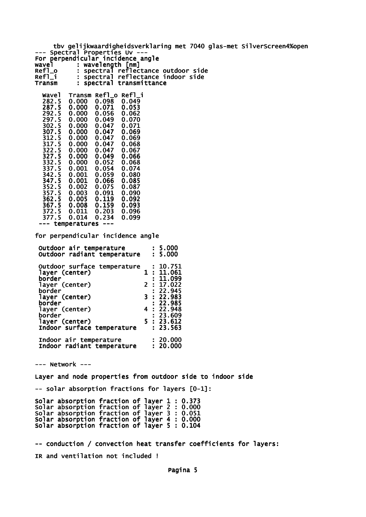tbv gelijkwaardigheidsverklaring met 7040 glas-met SilverScreen4%open --- Spectral Properties Uv --For perpendicular incidence angle wavel : wavelength [nm] Refl\_o : spectral reflectance outdoor side Refl\_i : spectral reflectance indoor side<br>Transm : spectral transmittance : spectral transmittance Wavel Transm Refl\_o Refl\_i<br>282.5 0.000 0.098 0.049  $0.000$   $0.098$ <br> $0.000$   $0.071$  287.5 0.000 0.071 0.053 292.5 0.000 0.056 0.062 297.5 0.000 0.049 0.070 302.5 0.000 0.047 0.071 0.000 0.047 0.069<br>0.000 0.047 0.069 312.5 0.000 0.047 0.069 317.5 0.000 0.047 0.068 0.047 327.5 0.000 0.049 0.066  $0.000$   $0.052$   $0.068$ <br> $0.001$   $0.054$   $0.074$ 0.001 0.054 0.074<br>0.001 0.059 0.080 342.5 0.001 0.059 0.080 347.5 0.001 0.066 0.085 352.5 0.002 0.075 0.087 357.5 0.003 0.091 0.090 362.5 0.005 0.119 0.092 367.5 0.008 0.159 0.093 372.5 0.011 0.203 0.096  $0.014$  --- temperatures -- for perpendicular incidence angle Outdoor air temperature : 5.000 Outdoor radiant temperature : 5.000 Outdoor surface temperature : 10.751<br>layer (center) 1 : 11.061 layer (center)<br>border  $: 11.099$ <br>2: 17.022 layer (center) 2 : 17.022

 border : 22.945 layer (center)<br>border  $3: 22.983$ <br> $: 22.985$ <br> $4: 22.948$ layer (center)<br>border  $: 23.609$ <br> $5 : 23.612$  layer (center) 5 : 23.612 Indoor surface temperature Indoor air temperature : 20.000 Indoor radiant temperature : 20.000

--- Network ---

Layer and node properties from outdoor side to indoor side

-- solar absorption fractions for layers [0-1]:

Solar absorption fraction of layer 1 : 0.373 Solar absorption fraction of layer 2 : 0.000 Solar absorption fraction of layer 3 : 0.051 Solar absorption fraction of layer 4 : 0.000 Solar absorption fraction of layer 5 : 0.104

-- conduction / convection heat transfer coefficients for layers: IR and ventilation not included !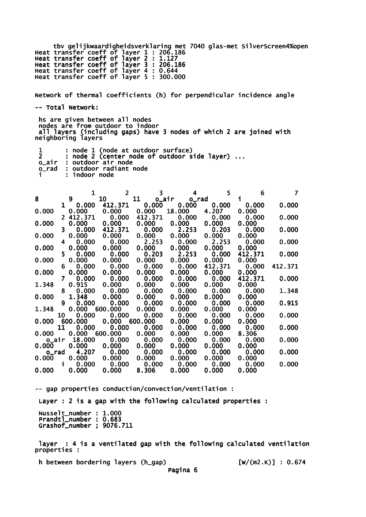tbv gelijkwaardigheidsverklaring met 7040 glas-met SilverScreen4%open Heat transfer coeff of layer 1 : 206.186 Heat transfer coeff of layer 2 : 1.127 Heat transfer coeff of layer 3 : 206.186 Heat transfer coeff of layer 4 : 0.644 Heat transfer coeff of layer 5 : 300.000

Network of thermal coefficients (h) for perpendicular incidence angle -- Total Network:

 hs are given between all nodes nodes are from outdoor to indoor all layers (including gaps) have 3 nodes of which 2 are joined with neighboring layers

|       | : node 1 (node at outdoor surface)           |
|-------|----------------------------------------------|
|       | : node 2 (center node of outdoor side layer) |
|       | o_air : outdoor air node                     |
| o rad | : outdoor radiant node                       |
|       | : indoor node                                |

|       |                | 1               | $\overline{2}$ | 3                        | 4              | 5       | 6       |         |
|-------|----------------|-----------------|----------------|--------------------------|----------------|---------|---------|---------|
| 8     |                | 9               | 10             | 11                       | o_air o_rad    |         | i.      |         |
|       |                | $1 \quad 0.000$ | 412.371        | 0.000                    | 0.000          | 0.000   | 0.000   | 0.000   |
| 0.000 |                | 0.000           | 0.000          | 0.000                    | 18.000         | 4.207   | 0.000   |         |
|       |                | 2 412.371       | 0.000          | 412.371                  | 0.000          | 0.000   | 0.000   | 0.000   |
| 0.000 |                | 0.000           | 0.000          | 0.000                    | 0.000          | 0.000   | 0.000   |         |
|       | 3.             | 0.000           | 412.371        | 0.000                    | 2.253          | 0.203   | 0.000   | 0.000   |
| 0.000 |                | 0.000           | 0.000          | 0.000                    | 0.000          | 0.000   | 0.000   |         |
|       | 4              | 0.000           | 0.000          | 2.253                    | 0.000          | 2.253   | 0.000   | 0.000   |
| 0.000 |                | 0.000           | 0.000          | 0.000                    | 0.000          | 0.000   | 0.000   |         |
|       | 5.             | 0.000           | 0.000          | 0.203                    | 2.253          | 0.000   | 412.371 | 0.000   |
| 0.000 |                | 0.000           | 0.000          | 0.000                    | 0.000          | 0.000   | 0.000   |         |
|       | 6.             | 0.000           | 0.000          | 0.000                    | 0.000          | 412.371 | 0.000   | 412.371 |
| 0.000 |                | 0.000           | 0.000          | 0.000                    | 0.000          | 0.000   | 0.000   |         |
|       | $\overline{7}$ | 0.000           | 0.000          | 0.000                    | 0.000          | 0.000   | 412.371 | 0.000   |
| 1.348 |                | 0.915           | 0.000          | 0.000                    | 0.000          | 0.000   | 0.000   |         |
|       | 8              | 0.000           | 0.000          | 0.000                    | 0.000          | 0.000   | 0.000   | 1.348   |
| 0.000 |                | 1.348           | 0.000          | 0.000                    | 0.000          | 0.000   | 0.000   |         |
|       | 9              | 0.000           |                | 0.000 0.000              | 0.000          | 0.000   | 0.000   | 0.915   |
| 1.348 |                | 0.000           | 600.000        | 0.000                    | 0.000          | 0.000   | 0.000   |         |
|       | 10             | 0.000           | 0.000          | 0.000                    | 0.000          | 0.000   | 0.000   | 0.000   |
| 0.000 |                | 600.000         | 0.000          | 600.000                  | 0.000          | 0.000   | 0.000   |         |
|       | 11             | 0.000           | 0.000          | 0.000                    | 0.000          | 0.000   | 0.000   | 0.000   |
| 0.000 |                | 0.000           | 600.000        | $\mathbf 0.\mathbf{000}$ | 0.000          | 0.000   | 8.306   |         |
| o_air |                | 18.000          | 0.000          | 0.000                    | 0.000          | 0.000   | 0.000   | 0.000   |
| 0.000 |                | 0.000           | 0.000          | 0.000                    | 0.000          | 0.000   | 0.000   | 0.000   |
| o_rad |                | 4.207           | 0.000          | 0.000                    | 0.000          | 0.000   | 0.000   |         |
| 0.000 | i              | 0.000<br>0.000  | 0.000<br>0.000 | 0.000                    | 0.000<br>0.000 | 0.000   | 0.000   | 0.000   |
|       |                |                 |                | 0.000                    |                | 0.000   | 0.000   |         |
| 0.000 |                | 0.000           | 0.000          | 8.306                    | 0.000          | 0.000   | 0.000   |         |

-- gap properties conduction/convection/ventilation : Layer : 2 is a gap with the following calculated properties : Nusselt\_number : 1.000 Prandtl\_number : 0.683 Grashof\_number ; 9076.711

 layer : 4 is a ventilated gap with the following calculated ventilation properties :

h between bordering layers (h\_gap) [W/(m2.K)] : 0.674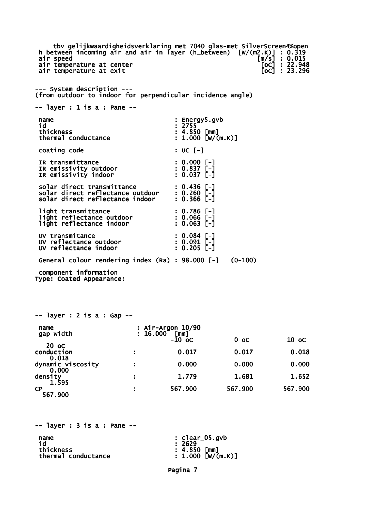tbv gelijkwaardigheidsverklaring met 7040 glas-met SilverScreen4%open<br>tween incoming air and air in layer (h\_between) [W/(m2.K)] : 0.319<br>speed [m/s] : 0.015<br>temperature at center [oc] : 22.948 h between incoming air and air in layer (h\_between) air speed [m/s] : 0.015 air temperature at center [oC] : 22.948 air temperature at exit in the same state of  $\overline{[} \circ \overline{c} ]$  : 23.296 --- System description --- (from outdoor to indoor for perpendicular incidence angle) -- layer : 1 is a : Pane - name : Energy5.gvb<br>id : 2755 id : 2755  $\vdots$  4.850 [mm]<br>: 1.000 [w/(m.k)] thermal conductance coating code : UC [-] IR transmittance : 0.000 [-]<br>
IR emissivity outdoor : 0.837 [-]<br>
IR emissivity indoor : 0.037 [-] IR emissivity outdoor : 0.837 [-] IR emissivity indoor : 0.037 [-] solar direct transmittance : 0.436 [-] solar direct reflectance outdoor : 0.260 [-] solar direct reflectance indoor : 0.366 [-] light transmittance : 0.786 [-]<br>light reflectance outdoor : 0.066 [-]<br>light reflectance indoor : 0.063 [-] light reflectance outdoor : 0.066 [-] light reflectance indoor : 0.063 [-] UV transmitance : 0.084 [-] UV reflectance outdoor : 0.091 [-] UV reflectance indoor : 0.205 [-] General colour rendering index (Ra) : 98.000 [-] (0-100) component information Type: Coated Appearance: -- layer : 2 is a : Gap - name : Air-Argon 10/90 gap width : 16.000 [mm]  $-10 \text{ oc}$  0 oc 10 oc  $-10 \text{ oc}$  20 oC conduction : 0.017 0.017 0.018 0.018 dynamic viscosity  $\hspace{1.6cm}$ : 0.000 0.000 0.000 0.000 density : 1.779 1.681 1.652 1.595 CP : 567.900 567.900 567.900 567.900  $--$  layer : 3 is a : Pane  $-$ name : clear\_05.gvb

Pagina 7

id : 2629

thermal conductance

thickness :  $\frac{1}{4.850}$  [mm]<br>thermal conductance : 1.000 [W/(m.K)]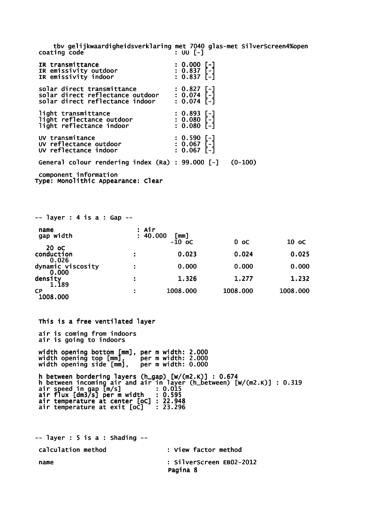tbv gelijkwaardigheidsverklaring met 7040 glas-met SilverScreen4%open coating code

| IR transmittance<br>IR emissivity outdoor<br>IR emissivity indoor                                             | $: 0.000$ [-]<br>$: 0.837$ [-]<br>$: 0.837$ [-]              |           |
|---------------------------------------------------------------------------------------------------------------|--------------------------------------------------------------|-----------|
| solar direct transmittance<br>solar direct reflectance outdoor : 0.074 [-]<br>solar direct reflectance indoor | : 0.827 [-]<br>$: 0.074$ [-]                                 |           |
| light transmittance<br>light reflectance outdoor<br>light reflectance indoor                                  | $: 0.893$ [-]<br>: 0.893 [-]<br>: 0.080 [-]<br>$: 0.080$ [-] |           |
| UV transmitance<br>UV reflectance outdoor<br>UV reflectance indoor                                            | : 0.590 [-]<br>: 0.067 [-]<br>$: 0.067$ [-]                  |           |
| General colour rendering index (Ra) : 99.000 [-]                                                              |                                                              | $(0-100)$ |
| component information                                                                                         |                                                              |           |

Type: Monolithic Appearance: Clear

| $--$ layer : 4 is a : Gap $--$      |                   |                  |          |          |
|-------------------------------------|-------------------|------------------|----------|----------|
| name<br>gap width                   | : Air<br>: 40.000 | [mm]<br>$-10$ oc | $0$ oc   | 10 oC    |
| 20 oC<br>conduction                 |                   | 0.023            | 0.024    | 0.025    |
| 0.026<br>dynamic viscosity<br>0.000 |                   | 0.000            | 0.000    | 0.000    |
| density<br>1.189                    | ÷                 | 1.326            | 1.277    | 1.232    |
| <b>CP</b><br>1008.000               |                   | 1008.000         | 1008.000 | 1008.000 |

 This is a free ventilated layer air is coming from indoors air is going to indoors width opening bottom [mm], per m width: 2.000 width opening top [mm], per m width: 2.000 width opening side [mm], per m width: 0.000 h between bordering layers (h\_gap) [W/(m2.K)] : 0.674 h between incoming air and air in layer (h\_between) [W/(m2.K)] : 0.319 air speed in gap [m/s] : 0.015 air flux [dm3/s] per m width : 0.595 air temperature at center [oC] : 22.948 air temperature at exit [oC] : 23.296  $--$  layer : 5 is a : Shading  $--$ 

 calculation method : View factor method name : SilverScreen EB02-2012 Pagina 8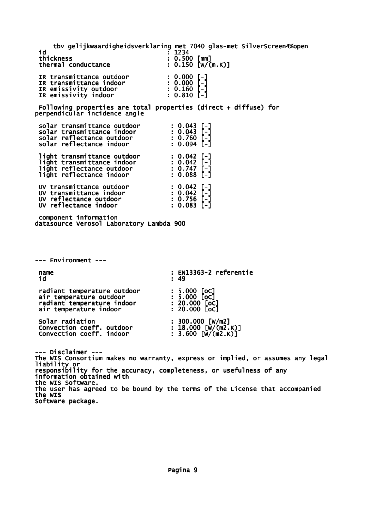tbv gelijkwaardigheidsverklaring met 7040 glas-met SilverScreen4%open id : 1234<br>thickness : 0.500  $\frac{1}{2}$  . 0.500 [mm]<br>: 0.150 [W/(m.K)] thermal conductance IR transmittance outdoor : 0.000 [-]<br>
IR transmittance indoor : 0.000 [-]<br>
IR emissivity outdoor : 0.160 [-]<br>
IR emissivity indoor : 0.810 [-] IR transmittance indoor IR emissivity outdoor : 0.160 [-] IR emissivity indoor : 0.810 [-] Following properties are total properties (direct + diffuse) for perpendicular incidence angle solar transmittance outdoor : 0.043 [-]<br>solar transmittance indoor : 0.043 [-]<br>solar reflectance outdoor : 0.760 [-]<br>solar reflectance indoor : 0.094 [-] solar transmittance indoor solar reflectance outdoor : 0.760 [-] solar reflectance indoor : 0.094 [-] light transmittance outdoor : 0.042 [-] light transmittance indoor : 0.042 [-] light reflectance outdoor : 0.747 [-] light reflectance indoor : 0.088 [-] UV transmittance outdoor : 0.042 [-] UV transmittance indoor : 0.042 [-] UV reflectance outdoor : 0.756 [-] UV reflectance indoor : 0.083 [-] component information datasource Verosol Laboratory Lambda 900 --- Environment -- name : EN13363-2 referentie<br>id : 49 id : 49 radiant temperature outdoor : 5.000 [oC]<br>air temperature outdoor : 5.000 [oC]<br>radiant temperature indoor : 20.000 [oC]<br>air temperature indoor : 20.000 [oC] air temperature outdoor radiant temperature indoor air temperature indoor Solar radiation : 300.000 [W/m2]<br>
Convection coeff. outdoor : 18.000 [W/(m2.K)]<br>
Convection coeff. indoor : 3.600 [W/(m2.K)] Convection coeff. outdoor : 18.000 [W/(m2.K)] Convection coeff. indoor : 3.600 [W/(m2.K)] --- Disclaimer --- The WIS Consortium makes no warranty, express or implied, or assumes any legal liability or responsibility for the accuracy, completeness, or usefulness of any information obtained with the WIS Software. The user has agreed to be bound by the terms of the License that accompanied the WIS Software package.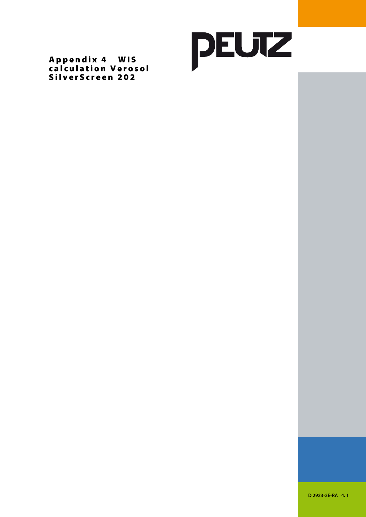

Appendix 4 WIS calculation Verosol SilverScreen 202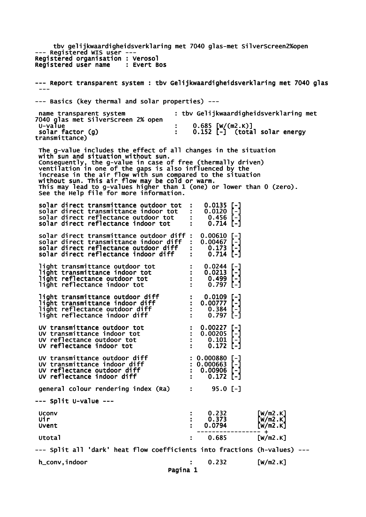tbv gelijkwaardigheidsverklaring met 7040 glas-met SilverScreen2%open --- Registered WIS user --- Registered organisation : Verosol<br>Registered user name : Evert Bos Registered user name --- Report transparent system : tbv Gelijkwaardigheidsverklaring met 7040 glas --- --- Basics (key thermal and solar properties) -- name transparent system : tbv Gelijkwaardigheidsverklaring met 7040 glas met SilverScreen 2% open : 0.685 [W/(m2.K)]<br>: 0.152 [-] (tota  $\mathbf{S} = \begin{bmatrix} 0.152 \\ -1 \end{bmatrix}$  (total solar energy solar factor (g)<br>transmittance) The g-value includes the effect of all changes in the situation with sun and situation without sun. Consequently, the g-value in case of free (thermally driven) ventilation in one of the gaps is also influenced by the increase in the air flow with sun compared to the situation without sun. This air flow may be cold or warm. This may lead to g-values higher than 1 (one) or lower than 0 (zero). See the Help file for more information. solar direct transmittance outdoor tot : 0.0135 [-]<br>solar direct transmittance indoor tot : 0.0120 [-]<br>solar direct reflectance outdoor tot : 0.456 [-] solar direct transmittance indoor tot solar direct reflectance outdoor tot : 0.456 [-] solar direct reflectance indoor tot : 0.714 [-] solar direct transmittance outdoor diff : 0.00610 [-] solar direct transmittance indoor diff : 0.00467 [-]<br>solar direct reflectance outdoor diff : 0.173 [-]<br>solar direct reflectance indoor diff : 0.714 [-] solar direct reflectance outdoor diff : 0.173 [-] solar direct reflectance indoor diff : 0.714 [-] light transmittance outdoor tot : 0.0244 [-]<br>light transmittance indoor tot : 0.0213 [-]<br>light reflectance outdoor tot : 0.499 [-] light transmittance indoor tot : light reflectance outdoor tot : 0.499 [-] light reflectance indoor tot : light transmittance outdoor diff : 0.0109 [-] light transmittance indoor diff : 0.00777 [-] light reflectance outdoor diff : 0.384 [-] light reflectance indoor diff  $\begin{bmatrix} 1 & 0.384 \\ -3.384 \end{bmatrix}$ <br>
light reflectance indoor diff  $\begin{bmatrix} 0.797 \\ -1 \end{bmatrix}$  UV transmittance outdoor tot : 0.00227 [-] UV transmittance indoor tot : 0.00205 [-] UV transmittance outdoor tot : 0.00227 [-]<br>
UV transmittance indoor tot : 0.00205 [-]<br>
UV reflectance outdoor tot : 0.101 [-]<br>
UV reflectance indoor tot : 0.172 [-] UV reflectance indoor tot UV transmittance outdoor diff  $\sim$  : 0.000880 [-] UV transmittance indoor diff : 0.000663 [-] UV reflectance outdoor diff  $\cdot$  : 0.00906 [-] UV reflectance indoor diff : 0.172 [-] qeneral colour rendering index (Ra) : 95.0 [-] --- Split U-value --- Uconv : 0.232 [W/m2.K] Uir : 0.373 [W/m2.K] Uvent : 0.0794 [W/m2.K] ----------------- + Utotal : 0.685 [W/m2.K] --- Split all 'dark' heat flow coefficients into fractions (h-values) -- h\_conv,indoor : 0.232 [W/m2.K] Pagina 1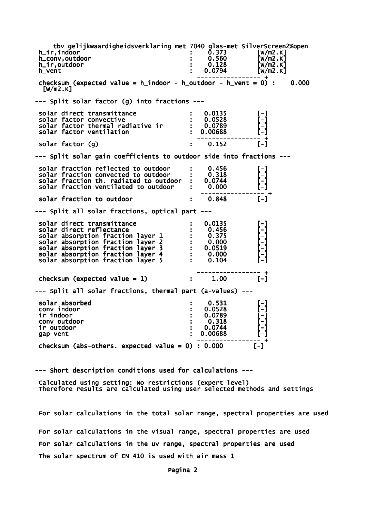tbv gelijkwaardigheidsverklaring met 7040 glas-met SilverScreen2%open<br>1.1ndoor [w/m2.K] h\_ir,indoor : 0.373 [W/m2.K] h\_conv,outdoor : 0.560 [W/m2.K] h\_ir,outdoor : 0.128 [W/m2.K] h\_vent : -0.0794 [W/m2.K] ----------------- + checksum (expected value =  $h$ \_indoor -  $h$ \_outdoor -  $h$ \_vent = 0) : 0.000  $\lceil W/m2.K\rceil$ --- Split solar factor (g) into fractions -- solar direct transmittance  $\qquad \qquad : \quad 0.0135$  [-] solar factor convective : 0.0528 [-] solar factor thermal radiative ir : 0.0789 [-] solar factor ventilation : 0.00688 ----------------- +  $solar$  factor  $(g)$   $\qquad \qquad$  : 0.152 --- Split solar gain coefficients to outdoor side into fractions -- solar fraction reflected to outdoor : 0.456<br>solar fraction convected to outdoor : 0.318 solar fraction convected to outdoor  $\cdot$  0.318<br>solar fraction th. radiated to outdoor : 0.0744 solar fraction th. radiated to outdoor : 0.0744<br>solar fraction ventilated to outdoor : 0.000 solar fraction ventilated to outdoor ----------------- + solar fraction to outdoor  $\qquad \qquad : \qquad 0.848$  [-] --- Split all solar fractions, optical part -- solar direct transmittance : 0.0135 [-] solar direct reflectance : 0.456<br>solar absorption fraction layer 1 : 0.375 solar absorption fraction layer 1 : 0.375<br>solar absorption fraction layer 2 : 0.000 solar absorption fraction layer 2 : 0.000<br>solar absorption fraction layer 3 : 0.0519 solar absorption fraction layer 3 : 0.0519 [-] solar absorption fraction layer 4 : 0.000 [-] solar absorption fraction layer  $5$  : 0.104 ----------------- + checksum (expected value = 1)  $\qquad \qquad$  :  $\qquad 1.00$  [-] --- Split all solar fractions, thermal part (a-values) -- solar absorbed : 0.531 [-] conv indoor : 0.0528 [-] conv indoor : 0.531<br>
conv indoor : 0.0528<br>
conv outdoor : 0.0789<br>
conv outdoor : 0.318<br>
conv outdoor : 0.318 conv outdoor : 0.318 [-] ir outdoor : 0.0744 [-] gap vent ----------------- + checksum (abs-others. expected value =  $0$ ) : 0.000 [-]

--- Short description conditions used for calculations ---

 Calculated using setting: No restrictions (expert level) Therefore results are calculated using user selected methods and settings

 For solar calculations in the total solar range, spectral properties are used For solar calculations in the visual range, spectral properties are used For solar calculations in the uv range, spectral properties are used The solar spectrum of EN 410 is used with air mass 1

Pagina 2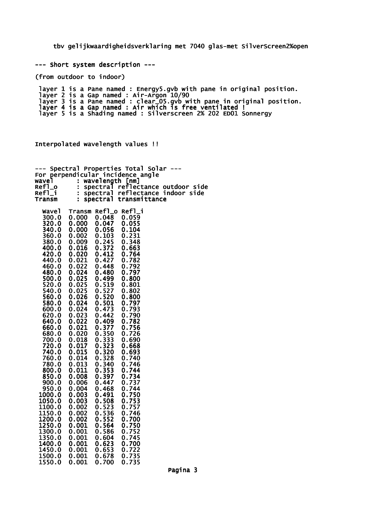tbv gelijkwaardigheidsverklaring met 7040 glas-met SilverScreen2%open

--- Short system description ---

(from outdoor to indoor)

 layer 1 is a Pane named : Energy5.gvb with pane in original position. layer 2 is a Gap named : Air-Argon 10/90 layer 3 is a Pane named : clear\_05.gvb with pane in original position. layer 4 is a Gap named : Air which is free ventilated ! layer 5 is a Shading named : Silverscreen 2% 202 ED01 Sonnergy

Interpolated wavelength values !!

| Spectral       |                      |                | Properties Total Solar                           |
|----------------|----------------------|----------------|--------------------------------------------------|
| For<br>wavel   |                      |                | perpendicular incidence angle<br>wavelength [nm] |
| Ref1_o         | ÷,                   | spectral       | reflectance outdoor side                         |
| Refl_i         | Ė                    | spectral       | reflectance indoor side                          |
| Transm         | $\ddot{\phantom{a}}$ | spectral       | transmittance                                    |
|                |                      |                |                                                  |
| wavel          | Transm Refl_o        |                | Ref1_i                                           |
| 300.0          | 0.000                | 0.048          | 0.059                                            |
| 320.0          | 0.000                | 0.047          | 0.055                                            |
| 340.0          | 0.000                | 0.056          | 0.104                                            |
| 360.0          | 0.002                | 0.103          | 0.231                                            |
| 380.0          | 0.009                | 0.245          | 0.348                                            |
| 400.0          | 0.016                | 0.372          | 0.663                                            |
| 420.0          | 0.020                | 0.412          | 0.764                                            |
| 440.0          | 0.021                | 0.427          | 0.782                                            |
| 460.0          | 0.022                | 0.448          | 0.792                                            |
| 480.0          | 0.024                | 0.480          | 0.797                                            |
| 500.0          | 0.025                | 0.499          | 0.800                                            |
| 520.0          | 0.025                | 0.519          | 0.801                                            |
| 540.0          | 0.025                | 0.527          | 0.802                                            |
| 560.0          | 0.026                | 0.520          | 0.800                                            |
| 580.0          | 0.024                | 0.501          | 0.797                                            |
| 600.0<br>620.0 | 0.024<br>0.023       | 0.473<br>0.442 | 0.793<br>0.790                                   |
| 640.0          | 0.022                | 0.409          | 0.782                                            |
| 660.0          | 0.021                | 0.377          | 0.756                                            |
| 680.0          | 0.020                | 0.350          | 0.726                                            |
| 700.0          | 0.018                | 0.333          | 0.690                                            |
| 720.0          | 0.017                | 0.323          | 0.668                                            |
| 740.0          | 0.015                | 0.320          | 0.693                                            |
| 760.0          | 0.014                | 0.328          | 0.740                                            |
| 780.0          | 0.013                | 0.340          | 0.746                                            |
| 800.0          | 0.011                | 0.353          | 0.744                                            |
| 850.0          | 0.008                | 0.397          | 0.734                                            |
| 900.0          | 0.006                | 0.447          | 0.737                                            |
| 950.0          | 0.004                | 0.468          | 0.744                                            |
| 1000.0         | 0.003                | 0.491          | 0.750                                            |
| 1050.0         | 0.003                | 0.508          | 0.753                                            |
| 1100.0         | 0.002                | 0.523          | 0.757                                            |
| 1150.0         | 0.002                | 0.536          | 0.746                                            |
| 1200.0         | 0.002                | 0.552          | 0.700                                            |
| 1250.0         | 0.001                | 0.564          | 0.750                                            |
| 1300.0         | 0.001                | 0.586          | 0.752                                            |
| 1350.0         | 0.001                | 0.604          | 0.745                                            |
| 1400.0         | 0.001                | 0.623          | 0.700                                            |
| 1450.0         | 0.001                | 0.653          | 0.722                                            |
| 1500.0         | 0.001                | 0.678          | 0.735                                            |

1550.0 0.001 0.700 0.735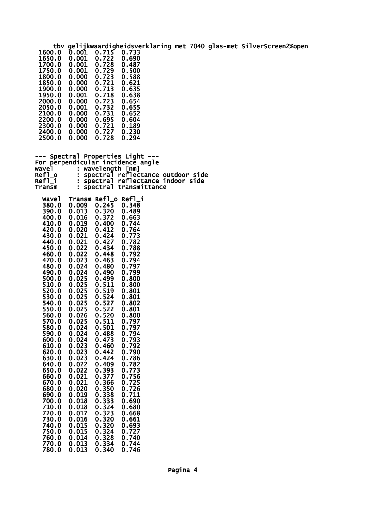tbv gelijkwaardigheidsverklaring met 7040 glas-met SilverScreen2%open<br>1600.0 0.001 0.715 0.733<br>1650.0 0.001 0.722 0.690  $0.001$   $0.715$  0.733<br>0.001 0.722 0.690 1650.0 0.001 0.722 0.690 0.001 0.722 0.690<br>0.001 0.728 0.487<br>0.001 0.729 0.500 1750.0 0.001 0.729 0.500 1800.0 0.000 0.723 0.588<br>1850.0 0.000 0.721 0.621<br>1900.0 0.000 0.713 0.635 1850.0 0.000 0.721 0.621 1900.0 0.000 0.713 0.635 1950.0 0.001 0.718 0.638 2000.0 0.000 0.723 0.654 2050.0 0.001 0.732 0.655 2050.0 0.001 0.732 0.655<br>2100.0 0.000 0.731 0.652<br>2200.0 0.000 0.695 0.604 2100.0 0.000 0.731 0.652<br>2200.0 0.000 0.695 0.604<br>2300.0 0.000 0.721 0.189 0.000 0.721 0.189<br>0.000 0.727 0.230 2400.0 0.000 0.727 0.230  $2500.0$ --- Spectral Properties Light ---For perpendicular incidence angle<br>wavel : wavelength [nm] wavel : wavelength [nm] Refl\_o : spectral reflectance outdoor side Refl\_i : spectral reflectance indoor side Transm : spectral transmittance Wavel Transm Refl\_o Refl\_i 380.0 0.009 0.245 0.348 390.0 0.013 0.320 0.489 0.372 0.663<br>0.400 0.744 410.0 0.019 0.400 0.744 420.0 0.020 0.412 0.764 430.0 0.021 0.424 0.773 440.0 0.021 0.427 0.782 450.0 0.022 0.434 0.788 460.0 0.022 0.448 0.792 470.0 0.023 0.463 0.794 480.0 0.024 0.480 0.797 490.0 0.024 0.490 0.799 500.0 0.025 0.499 0.800 510.0 0.025 0.511 0.800 520.0 0.025 0.519 0.801 530.0 0.025 0.524 0.801 540.0 0.025 0.527 0.802 550.0 0.025 0.522 0.801 560.0 0.026 0.520 0.800 570.0 0.025 0.511 0.797<br>580.0 0.024 0.501 0.797<br>590.0 0.024 0.488 0.794 580.0 0.024 0.501 0.797 590.0 0.024 0.488 0.794 600.0 0.024 0.473 0.793 610.0 0.023 0.460 0.792 620.0 0.023 0.442 0.790 630.0 0.023 0.424 0.786 640.0 0.022 0.409 0.782 650.0 0.022 0.393 0.773 660.0 0.021 0.377 0.756 670.0 0.021 0.366 0.725 680.0 0.020 0.350 0.726 690.0 0.019 0.338 0.711 700.0 0.018 0.333 0.690 710.0 0.018 0.324 0.680<br>720.0 0.017 0.323 0.668<br>730.0 0.016 0.320 0.661 720.0 0.017 0.323 0.668 730.0 0.016 0.320 0.661 730.0 0.016 0.320 0.661<br>740.0 0.015 0.320 0.693<br>750.0 0.015 0.324 0.727 750.0 0.015 0.324 0.727<br>760.0 0.014 0.328 0.740<br>770.0 0.013 0.334 0.744 760.0 0.014 0.328 0.740 770.0 0.013 0.334 0.744

780.0 0.013 0.340 0.746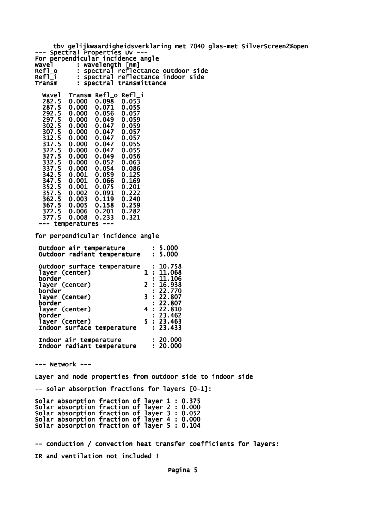tbv gelijkwaardigheidsverklaring met 7040 glas-met SilverScreen2%open --- Spectral Properties Uv --- For perpendicular incidence angle wavel : wavelength [nm] Refl\_o : spectral reflectance outdoor side Refl\_i : spectral reflectance indoor side<br>Transm : spectral transmittance : spectral transmittance Wavel Transm Refl\_o Refl\_i 0.000 0.098 0.053<br>0.000 0.071 0.055 282.5 0.000 0.098 0.053<br>287.5 0.000 0.071 0.055<br>292.5 0.000 0.056 0.057<br>297.5 0.000 0.049 0.059 292.5 0.000 0.056 0.057 297.5 0.000 0.049 0.059 302.5 0.000 0.047 0.059 307.5 0.000 0.047 0.057 0.000 0.047 0.057<br>0.000 0.047 0.055 317.5 0.000 0.047 0.055 322.5 0.000 0.047 0.055 327.5 0.000 0.049 0.056 332.5 0.000 0.052 0.063

| ----- | - - - - - | - - - - - | ----- |
|-------|-----------|-----------|-------|
| 337.5 | 0.000     | 0.054     | 0.086 |
| 342.5 | 0.001     | 0.059     | 0.125 |
| 347.5 | 0.001     | 0.066     | 0.169 |
| 352.5 | 0.001     | 0.075     | 0.201 |
| 357.5 | 0.002     | 0.091     | 0.222 |
| 362.5 | 0.003     | 0.119     | 0.240 |
| 367.5 | 0.005     | 0.158     | 0.259 |
| 372.5 | 0.006     | 0.201     | 0.282 |
|       |           |           |       |

 377.5 0.008 0.233 0.321 --- temperatures ---

for perpendicular incidence angle

| Outdoor air temperature<br>Outdoor radiant temperature |  | : 5.000<br>: 5.000   |
|--------------------------------------------------------|--|----------------------|
| Outdoor surface temperature<br>layer (center)          |  | : 10.758<br>1:11.068 |
| border                                                 |  | : 11.106             |
| layer (center)                                         |  | 2:16.938             |
| border<br>layer (center)                               |  | : 22.770<br>3:22.807 |
| border                                                 |  | : 22.807             |
| layer (center)<br>border                               |  | 4:22.810<br>: 23.462 |
| layer (center)                                         |  | 5:23.463             |
| Indoor surface temperature                             |  | : 23.433             |
| Indoor air temperature                                 |  | : 20.000             |
| Indoor radiant temperature                             |  | : 20.000             |

--- Network ---

Layer and node properties from outdoor side to indoor side

-- solar absorption fractions for layers [0-1]:

Solar absorption fraction of layer 1 : 0.375 Solar absorption fraction of layer 2 : 0.000 Solar absorption fraction of layer 3 : 0.052 Solar absorption fraction of layer 4 : 0.000 Solar absorption fraction of layer 5 : 0.104

-- conduction / convection heat transfer coefficients for layers: IR and ventilation not included !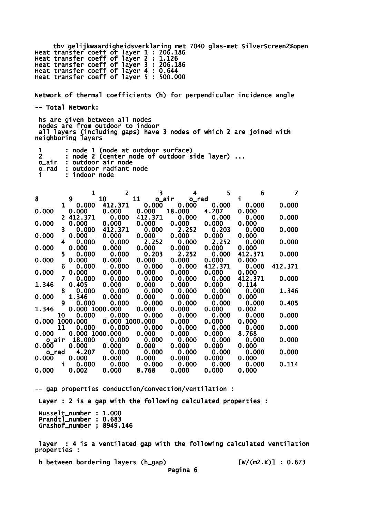tbv gelijkwaardigheidsverklaring met 7040 glas-met SilverScreen2%open Heat transfer coeff of layer 1 : 206.186 Heat transfer coeff of layer 2 : 1.126 Heat transfer coeff of layer 3 : 206.186 Heat transfer coeff of layer 4 : 0.644 Heat transfer coeff of layer 5 : 500.000

Network of thermal coefficients (h) for perpendicular incidence angle -- Total Network:

 hs are given between all nodes nodes are from outdoor to indoor all layers (including gaps) have 3 nodes of which 2 are joined with neighboring layers

|       | : node 1 (node at outdoor surface)           |
|-------|----------------------------------------------|
|       | : node 2 (center node of outdoor side layer) |
|       | o_air : outdoor air node                     |
| o rad | : outdoor radiant node                       |
|       | : indoor node                                |

|                |                | 1                  | $\overline{2}$ | 3           | 4           | 5       | 6       |         |
|----------------|----------------|--------------------|----------------|-------------|-------------|---------|---------|---------|
| 8              |                | 9                  | 10             | 11          | o_air o_rad |         | i.      |         |
|                |                | $1 \quad$<br>0.000 | 412.371        | 0.000       | 0.000       | 0.000   | 0.000   | 0.000   |
| 0.000          |                | 0.000              | 0.000          | 0.000       | 18.000      | 4.207   | 0.000   |         |
|                |                | 2 412.371          | 0.000          | 412.371     | 0.000       | 0.000   | 0.000   | 0.000   |
| 0.000          |                | 0.000              | 0.000          | 0.000       | 0.000       | 0.000   | 0.000   |         |
|                | 3.             | 0.000              | 412.371        | 0.000       | 2.252       | 0.203   | 0.000   | 0.000   |
| 0.000          |                | 0.000              | 0.000          | 0.000       | 0.000       | 0.000   | 0.000   |         |
|                | 4              | 0.000              | 0.000          | 2.252       | 0.000       | 2.252   | 0.000   | 0.000   |
| 0.000          |                | 0.000              | 0.000          | 0.000       | 0.000       | 0.000   | 0.000   |         |
|                | 5.             | 0.000              | 0.000          | 0.203       | 2.252       | 0.000   | 412.371 | 0.000   |
| 0.000          |                | 0.000              | 0.000          | 0.000       | 0.000       | 0.000   | 0.000   |         |
|                | 6.             | 0.000              | 0.000          | 0.000       | 0.000       | 412.371 | 0.000   | 412.371 |
| 0.000          |                | 0.000              | 0.000          | 0.000       | 0.000       | 0.000   | 0.000   |         |
|                | 7 <sup>7</sup> | 0.000              | 0.000          | 0.000       | 0.000       | 0.000   | 412.371 | 0.000   |
| 1.346          |                | 0.405              | 0.000          | 0.000       | 0.000       | 0.000   | 0.114   |         |
|                | 8              | 0.000              | 0.000          | 0.000       | 0.000       | 0.000   | 0.000   | 1.346   |
| 0.000          |                | 1.346              | 0.000          | 0.000       | 0.000       | 0.000   | 0.000   |         |
|                | 9              | 0.000              |                | 0.000 0.000 | 0.000       | 0.000   | 0.000   | 0.405   |
| 1.346          |                | 0.000 1000.000     |                | 0.000       | 0.000       | 0.000   | 0.002   |         |
|                | 10             | 0.000              | 0.000          | 0.000       | 0.000       | 0.000   | 0.000   | 0.000   |
| 0.000 1000.000 |                |                    | 0.000 1000.000 |             | 0.000       | 0.000   | 0.000   |         |
|                | 11             | 0.000              | 0.000          | 0.000       | 0.000       | 0.000   | 0.000   | 0.000   |
| 0.000          |                | 0.000 1000.000     |                | 0.000       | 0.000       | 0.000   | 8.768   |         |
| o_air          |                | 18.000             | 0.000          | 0.000       | 0.000       | 0.000   | 0.000   | 0.000   |
| 0.000          |                | 0.000              | 0.000          | 0.000       | 0.000       | 0.000   | 0.000   |         |
| o rad          |                | 4.207              | 0.000          | 0.000       | 0.000       | 0.000   | 0.000   | 0.000   |
| 0.000          |                | 0.000              | 0.000          | 0.000       | 0.000       | 0.000   | 0.000   |         |
|                | $\mathbf{i}$   | 0.000              | 0.000          | 0.000       | 0.000       | 0.000   | 0.000   | 0.114   |
| 0.000          |                | 0.002              | 0.000          | 8.768       | 0.000       | 0.000   | 0.000   |         |

-- gap properties conduction/convection/ventilation : Layer : 2 is a gap with the following calculated properties : Nusselt\_number : 1.000 Prandtl\_number : 0.683 Grashof\_number ; 8949.146

 layer : 4 is a ventilated gap with the following calculated ventilation properties :

h between bordering layers (h\_gap) [W/(m2.K)] : 0.673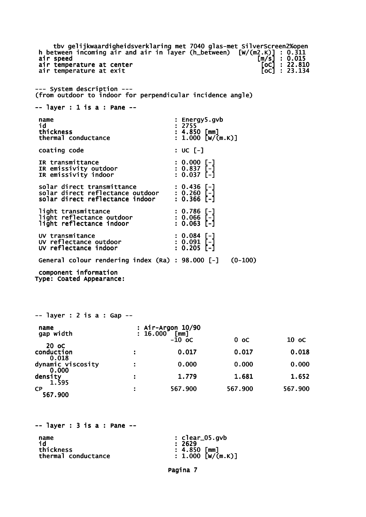tbv gelijkwaardigheidsverklaring met 7040 glas-met SilverScreen2%open<br>tween incoming air and air in layer (h\_between) [w/(m2.K)] : 0.311<br>speed [m/s] : 0.015<br>temperature at center [oc] : 22.810 h between incoming air and air in layer (h\_between) air speed [m/s] : 0.015 air temperature at center [oC] : 22.810 air temperature at exit  $\overline{[} \circ \overline{c} ]$  : 23.134 --- System description --- (from outdoor to indoor for perpendicular incidence angle) -- layer : 1 is a : Pane - name : Energy5.gvb id : 2755 thickness<br>thermal conductance  $\begin{array}{r} : 4.850 \text{ [mm]} \\ : 1.000 \text{ [w/(m.K)]} \end{array}$ thermal conductance coating code : UC [-] IR transmittance : 0.000 [-]<br>
IR emissivity outdoor : 0.837 [-]<br>
IR emissivity indoor : 0.037 [-] IR emissivity outdoor : 0.837 [-] IR emissivity indoor : 0.037 [-] solar direct transmittance : 0.436 [-] solar direct reflectance outdoor : 0.260 [-] solar direct reflectance indoor : 0.366 [-] light transmittance : 0.786 [-]<br>light reflectance outdoor : 0.066 [-]<br>light reflectance indoor : 0.063 [-] light reflectance outdoor : 0.066 [-] light reflectance indoor : 0.063 [-] UV transmitance : 0.084 [-] UV reflectance outdoor : 0.091 [-] UV reflectance indoor : 0.205 [-] General colour rendering index (Ra) : 98.000 [-] (0-100) component information Type: Coated Appearance: -- layer : 2 is a : Gap - name : Air-Argon 10/90<br>
gap width : 16.000 [mm]  $\begin{bmatrix} 16.000 & \texttt{[mm]} \\ -10 & \texttt{oc} \end{bmatrix}$  $-10 \text{ oc}$  0 oc 10 oc  $-10 \text{ oc}$  20 oC conduction : 0.017 0.017 0.018 0.018 dynamic viscosity  $\hspace{1.6cm}$ : 0.000 0.000 0.000 0.000 density : 1.779 1.681 1.652 1.595 CP : 567.900 567.900 567.900 567.900  $--$  layer : 3 is a : Pane  $-$ name : clear\_05.gvb

| name                | $: clear\_05.gov$ |
|---------------------|-------------------|
| id                  | : 2629            |
| thickness           | $: 4.850$ [mm]    |
| thermal conductance | : 1.000 [W/(m.K)] |

Pagina 7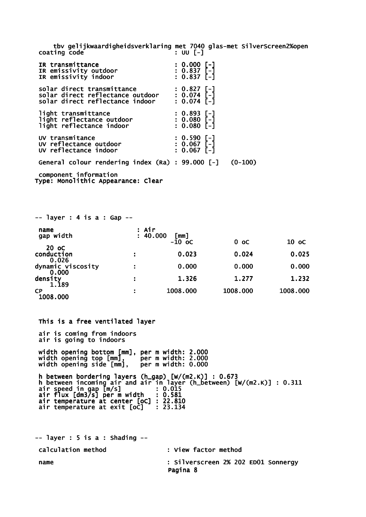tbv gelijkwaardigheidsverklaring met 7040 glas-met SilverScreen2%open coating code

| IR transmittance<br>IR emissivity outdoor<br>IR emissivity indoor                                             | $: 0.000$ [-]<br>$: 0.837$ [-]<br>$: 0.837$ [-]              |           |
|---------------------------------------------------------------------------------------------------------------|--------------------------------------------------------------|-----------|
| solar direct transmittance<br>solar direct reflectance outdoor : 0.074 [-]<br>solar direct reflectance indoor | : 0.827 [-]<br>$: 0.074$ [-]                                 |           |
| light transmittance<br>light reflectance outdoor<br>light reflectance indoor                                  | $: 0.893$ [-]<br>: 0.893 [-]<br>: 0.080 [-]<br>$: 0.080$ [-] |           |
| UV transmitance<br>UV reflectance outdoor<br>UV reflectance indoor                                            | : 0.590 [-]<br>: 0.067 [-]<br>$: 0.067$ [-]                  |           |
| General colour rendering index (Ra) : 99.000 [-]                                                              |                                                              | $(0-100)$ |
| component information                                                                                         |                                                              |           |

Type: Monolithic Appearance: Clear

| $--$ layer : 4 is a : Gap $--$      |                   |                  |          |          |
|-------------------------------------|-------------------|------------------|----------|----------|
| name<br>gap width                   | : Air<br>: 40.000 | [mm]<br>$-10$ oc | $0$ oc   | 10 oC    |
| 20 oC<br>conduction                 |                   | 0.023            | 0.024    | 0.025    |
| 0.026<br>dynamic viscosity<br>0.000 |                   | 0.000            | 0.000    | 0.000    |
| density<br>1.189                    | ÷                 | 1.326            | 1.277    | 1.232    |
| <b>CP</b><br>1008.000               |                   | 1008.000         | 1008.000 | 1008.000 |

 This is a free ventilated layer air is coming from indoors air is going to indoors width opening bottom [mm], per m width: 2.000 width opening top [mm], per m width: 2.000 width opening side [mm], per m width: 0.000 h between bordering layers (h\_gap) [W/(m2.K)] : 0.673 h between incoming air and air in layer (h\_between) [W/(m2.K)] : 0.311 air speed in gap [m/s] : 0.015 air flux [dm3/s] per m width : 0.581 air temperature at center [oC] : 22.810 air temperature at exit [oC] : 23.134

 $--$  layer : 5 is a : Shading  $-$  calculation method : View factor method name : Silverscreen 2% 202 ED01 Sonnergy Pagina 8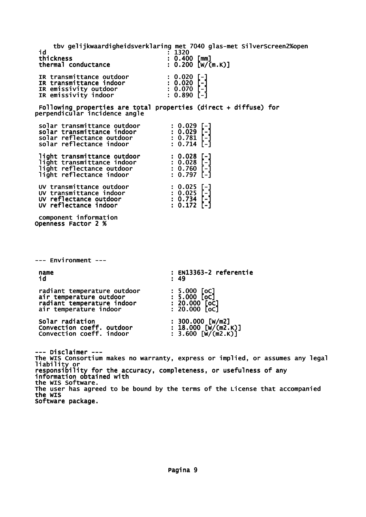tbv gelijkwaardigheidsverklaring met 7040 glas-met SilverScreen2%open id : 1320<br>thickness : 0.40  $\vdots$  0.400 [mm]<br>: 0.200 [W/(m.K)] thermal conductance IR transmittance outdoor : 0.020 [-]<br>
IR transmittance indoor : 0.020 [-]<br>
IR emissivity outdoor : 0.070 [-]<br>
IR emissivity indoor : 0.890 [-] IR transmittance indoor IR emissivity outdoor : 0.070 [-] IR emissivity indoor : 0.890 [-] Following properties are total properties (direct + diffuse) for perpendicular incidence angle solar transmittance outdoor : 0.029 [-]<br>solar transmittance indoor : 0.029 [-]<br>solar reflectance outdoor : 0.781 [-]<br>solar reflectance indoor : 0.714 [-] solar transmittance indoor solar reflectance outdoor : 0.781 [-] solar reflectance indoor : 0.714 [-] light transmittance outdoor : 0.028 [-] light transmittance indoor : 0.028 [-] light reflectance outdoor : 0.760 [-] light reflectance indoor : 0.797 [-] UV transmittance outdoor : 0.025 [-] UV transmittance indoor : 0.025 [-] UV reflectance outdoor : 0.734 [-] UV reflectance indoor : 0.172 [-] component information Openness Factor 2 % --- Environment -- name : EN13363-2 referentie<br>id : 49 id : 49 radiant temperature outdoor : 5.000 [oC]<br>air temperature outdoor : 5.000 [oC]<br>radiant temperature indoor : 20.000 [oC]<br>air temperature indoor : 20.000 [oC] air temperature outdoor radiant temperature indoor air temperature indoor Solar radiation : 300.000 [W/m2]<br>
Convection coeff. outdoor : 18.000 [W/(m2.K)]<br>
Convection coeff. indoor : 3.600 [W/(m2.K)] Convection coeff. outdoor : 18.000 [W/(m2.K)] Convection coeff. indoor : 3.600 [W/(m2.K)] --- Disclaimer --- The WIS Consortium makes no warranty, express or implied, or assumes any legal liability or responsibility for the accuracy, completeness, or usefulness of any information obtained with information obtained with<br>the WIS Software. The user has agreed to be bound by the terms of the License that accompanied the WIS Software package.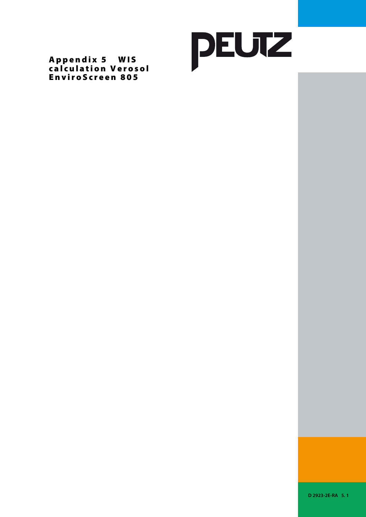

Appendix 5 WIS calculation Verosol EnviroScreen 805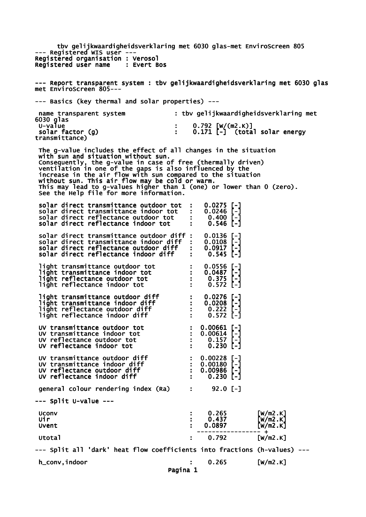tbv gelijkwaardigheidsverklaring met 6030 glas-met EnviroScreen 805 --- Registered WIS user --- Registered organisation : Verosol<br>Registered user name : Evert Bos Registered user name --- Report transparent system : tbv gelijkwaardigheidsverklaring met 6030 glas met EnviroScreen 805--- --- Basics (key thermal and solar properties) -- name transparent system : tbv gelijkwaardigheidsverklaring met 6030 glas : 0.792 [W/(m2.K)]<br>: 0.171 [-] (tota  $\check{\phantom{\phi}}$  (total solar energy solar factor (g)<br>transmittance) The g-value includes the effect of all changes in the situation with sun and situation without sun. Consequently, the g-value in case of free (thermally driven) ventilation in one of the gaps is also influenced by the increase in the air flow with sun compared to the situation without sun. This air flow may be cold or warm. This may lead to g-values higher than 1 (one) or lower than 0 (zero). See the Help file for more information. solar direct transmittance outdoor tot : 0.0275 [-]<br>solar direct transmittance indoor tot : 0.0246 [-]<br>solar direct reflectance outdoor tot : 0.400 [-] solar direct transmittance indoor tot solar direct reflectance outdoor tot : 0.400 [-] solar direct reflectance indoor tot : 0.546 [-] solar direct transmittance outdoor diff : 0.0136 [-]<br>solar direct transmittance indoor diff : 0.0108 [-] solar direct transmittance indoor diff : 0.0108 [-] solar direct reflectance outdoor diff : 0.0917 [-] solar direct reflectance indoor diff : 0.545 [-] light transmittance outdoor tot : 0.0556 [-]<br>light transmittance indoor tot : 0.0487 [-]<br>light reflectance outdoor tot : 0.375 [-] light transmittance indoor tot : 0.0487<br>light reflectance outdoor tot : 0.375 light reflectance outdoor tot : 0.375 [-] light reflectance indoor tot light transmittance outdoor diff : 0.0276 [-] light transmittance indoor diff : 0.0208 [-] light reflectance outdoor diff : 0.222 [-] light reflectance indoor diff<br>
light reflectance outdoor diff  $\begin{array}{cccc} 0.222 & -1 \\ -1.572 & -1.572 & -1.572 \end{array}$  UV transmittance outdoor tot : 0.00661 [-] UV transmittance indoor tot : 0.00614 [-] UV transmittance outdoor tot : 0.00661 [-]<br>
UV transmittance indoor tot : 0.00614 [-]<br>
UV reflectance outdoor tot : 0.157 [-]<br>
UV reflectance indoor tot : 0.230 [-] UV reflectance indoor tot : UV transmittance outdoor diff  $\qquad \qquad : \quad 0.00228$  [-] UV transmittance indoor diff : 0.00180 [-] UV reflectance outdoor diff  $\cdot$  : 0.00986 [-] UV reflectance indoor diff  $\cdot$  : 0.230 [-] qeneral colour rendering index (Ra) : 92.0 [-] --- Split U-value --- Uconv : 0.265 [W/m2.K] Uir : 0.437 [W/m2.K] Uvent : 0.0897 [W/m2.K] ----------------- + Utotal : 0.792 [W/m2.K] --- Split all 'dark' heat flow coefficients into fractions (h-values) -- h\_conv,indoor : 0.265 [W/m2.K] Pagina 1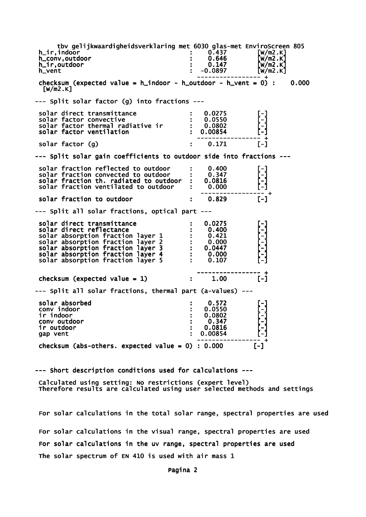tbv gelijkwaardigheidsverklaring met 6030 glas-met EnviroScreen 805<br>indoor [w/m2.K] h\_ir,indoor : 0.437 [W/m2.K] h\_conv,outdoor : 0.646 [W/m2.K] h\_ir,outdoor : 0.147 [W/m2.K] h\_vent : -0.0897 [W/m2.K] ----------------- + checksum (expected value =  $h$ \_indoor -  $h$ \_outdoor -  $h$ \_vent = 0) : 0.000  $\lceil W/m2.K\rceil$ --- Split solar factor (g) into fractions -- solar direct transmittance  $\qquad \qquad : \qquad 0.0275$  [-] solar factor convective : 0.0550 [-] solar factor thermal radiative ir : 0.0802 [-] solar factor ventilation : 0.00854 ----------------- +  $solar$  factor  $(g)$   $\hspace{1cm}$   $\hspace{1cm}$   $\hspace{1cm}$   $\hspace{1cm}$   $\hspace{1cm}$   $\hspace{1cm}$   $\hspace{1cm}$   $\hspace{1cm}$   $\hspace{1cm}$   $\hspace{1cm}$   $\hspace{1cm}$   $\hspace{1cm}$   $\hspace{1cm}$   $\hspace{1cm}$   $\hspace{1cm}$   $\hspace{1cm}$   $\hspace{1cm}$   $\hspace{1cm}$   $\hspace{1cm}$   $\hspace{1cm}$   $\hspace$ --- Split solar gain coefficients to outdoor side into fractions -- solar fraction reflected to outdoor : 0.400<br>solar fraction convected to outdoor : 0.347  $solar$  fraction convected to outdoor  $: 0.347$ <br> $solar$  fraction th. radiated to outdoor  $: 0.0816$ solar fraction th. radiated to outdoor solar fraction ventilated to outdoor : 0.000 ----------------- + solar fraction to outdoor  $\qquad \qquad : \qquad 0.829$  [-] --- Split all solar fractions, optical part -- solar direct transmittance : 0.0275 [-] solar direct reflectance : 0.400<br>solar absorption fraction layer 1 : 0.421 solar absorption fraction layer 1 : 0.421<br>solar absorption fraction layer 2 : 0.000 solar absorption fraction layer 2 : 0.000<br>solar absorption fraction layer 3 : 0.0447 solar absorption fraction layer 3 : 0.0447 [-] solar absorption fraction layer 4 : 0.000 [-] solar absorption fraction layer  $5$  : 0.107 ----------------- + checksum (expected value = 1)  $\qquad \qquad$  :  $\qquad 1.00$  [-] --- Split all solar fractions, thermal part (a-values) -- solar absorbed : 0.572 [-] conv indoor : 0.0550 [-] ir indoor  $\qquad \qquad : \qquad 0.0802$  conv outdoor : 0.347 [-] ir outdoor : 0.0816 [-] gap vent ----------------- + checksum (abs-others. expected value =  $0$ ) : 0.000 [-]

--- Short description conditions used for calculations ---

 Calculated using setting: No restrictions (expert level) Therefore results are calculated using user selected methods and settings

 For solar calculations in the total solar range, spectral properties are used For solar calculations in the visual range, spectral properties are used For solar calculations in the uv range, spectral properties are used The solar spectrum of EN 410 is used with air mass 1

Pagina 2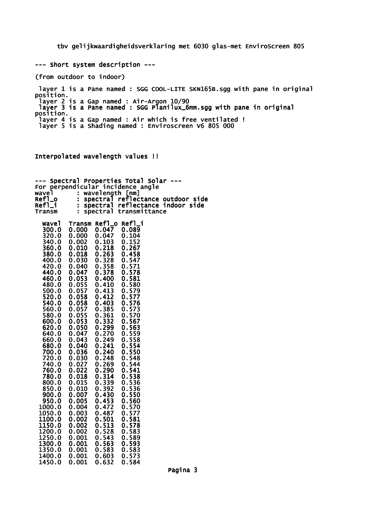tbv gelijkwaardigheidsverklaring met 6030 glas-met EnviroScreen 805

--- Short system description ---

(from outdoor to indoor)

 layer 1 is a Pane named : SGG COOL-LITE SKN165B.sgg with pane in original position. layer 2 is a Gap named : Air-Argon 10/90 layer 3 is a Pane named : SGG Planilux\_6mm.sgg with pane in original position. layer 4 is a Gap named : Air which is free ventilated ! layer 5 is a Shading named : Enviroscreen V6 805 000

Interpolated wavelength values !!

| Spectral<br>--- |                      |                 | Properties Total Solar        |
|-----------------|----------------------|-----------------|-------------------------------|
| For             |                      |                 | perpendicular incidence angle |
| wavel           | $\ddot{\phantom{a}}$ | wavelength [nm] |                               |
| Ref1_o          |                      | spectral        | reflectance outdoor side      |
| Refl_i          |                      | spectral        | reflectance indoor side       |
| Transm          |                      | spectral        | transmittance                 |
|                 |                      |                 |                               |
| <b>Wavel</b>    | Transm Refl_o        |                 | $Ref1_i$                      |
| 300.0           | 0.000                | 0.047           | 0.089                         |
| 320.0           | 0.000                | 0.047           | 0.104                         |
| 340.0           | 0.002                | 0.103           | 0.152                         |
| 360.0           | 0.010                | 0.218           | 0.267                         |
| 380.0           | 0.018                | 0.263           | 0.458                         |
| 400.0           | 0.030                | 0.328           | 0.547                         |
| 420.0           | 0.040                | 0.358           | 0.571                         |
| 440.0           | 0.047                | 0.378           | 0.578                         |
| 460.0           | 0.053                | 0.400           | 0.581                         |
| 480.0           | 0.055                | 0.410           | 0.580                         |
| 500.0           | 0.057                | 0.413           | 0.579                         |
| 520.0           | 0.058                | 0.412           | 0.577                         |
| 540.0           | 0.058                | 0.403           | 0.576                         |
| 560.0           | 0.057                | 0.385           | 0.573                         |
| 580.0           | 0.055                | 0.361           | 0.570                         |
| 600.0           | 0.053                | 0.332           | 0.567                         |
| 620.0           | 0.050                | 0.299           | 0.563                         |
| 640.0           | 0.047                | 0.270           | 0.559                         |
| 660.0           | 0.043                | 0.249           | 0.558                         |
| 680.0           | 0.040                | 0.241           | 0.554                         |
| 700.0           | 0.036                | 0.240           | 0.550                         |
| 720.0           | 0.030                | 0.248           | 0.548                         |
| 740.0           | 0.027                | 0.269           | 0.544                         |
|                 |                      |                 |                               |
| 760.0           | 0.022                | 0.290           | 0.541                         |
| 780.0           | 0.018                | 0.314           | 0.538                         |
| 800.0           | 0.015                | 0.339           | 0.536                         |
| 850.0           | 0.010                | 0.392           | 0.536                         |
| 900.0           | 0.007                | 0.430           | 0.550                         |
| 950.0           | 0.005                | 0.453           | 0.560                         |
| 1000.0          | 0.004                | 0.472           | 0.570                         |
| 1050.0          | 0.003                | 0.487           | 0.577                         |
| 1100.0          | 0.002                | 0.501           | 0.581                         |
| 1150.0          | 0.002                | 0.513           | 0.578                         |
| 1200.0          | 0.002                | 0.528           | 0.583                         |
| 1250.0          | 0.001                | 0.543           | 0.589                         |
| 1300.0          | 0.001                | 0.563           | 0.593                         |
| 1350.0          | 0.001                | 0.583           | 0.583                         |
| 1400.0          | 0.001                | 0.603           | 0.573                         |

1450.0 0.001 0.632 0.584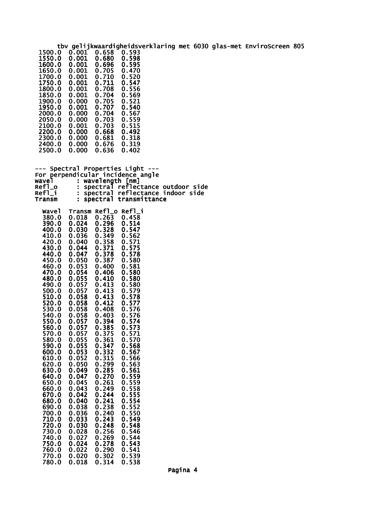|                                                                        |                                  |                                  |                                        |                                    |  | tbv gelijkwaardigheidsverklaring met 6030 glas-met EnviroScreen 805 |  |
|------------------------------------------------------------------------|----------------------------------|----------------------------------|----------------------------------------|------------------------------------|--|---------------------------------------------------------------------|--|
| 1500.0<br>1550.0<br>1600.0<br>1650.0                                   | 0.001<br>0.001<br>0.001<br>0.001 | 0.658<br>0.680<br>0.696<br>0.705 | 0.593<br>0.598<br>0.595<br>0.470       |                                    |  |                                                                     |  |
| 1700.0<br>1750.0                                                       | 0.001<br>0.001                   | 0.710<br>0.711                   | 0.520<br>0.547                         |                                    |  |                                                                     |  |
| 1800.0<br>1850.0                                                       | 0.001<br>0.001                   | 0.708<br>0.704                   | 0.556<br>0.569                         |                                    |  |                                                                     |  |
| 1900.0<br>1950.0                                                       | 0.000<br>0.001                   | 0.705<br>0.707                   | 0.521<br>0.540                         |                                    |  |                                                                     |  |
| 2000.0<br>2050.0                                                       | 0.000<br>0.000                   | 0.704<br>0.703                   | 0.567<br>0.559                         |                                    |  |                                                                     |  |
| 2100.0<br>2200.0<br>2300.0                                             | 0.001<br>0.000<br>0.000          | 0.703<br>0.668<br>0.681          | 0.515<br>0.492<br>0.318                |                                    |  |                                                                     |  |
| 2400.0<br>2500.0                                                       | 0.000<br>0.000                   | 0.676<br>0.636                   | 0.319<br>0.402                         |                                    |  |                                                                     |  |
| --- Spectral Properties Light ---<br>For perpendicular incidence angle |                                  |                                  |                                        |                                    |  |                                                                     |  |
| wavel<br>Ref1_o                                                        |                                  | wavelength [nm]                  |                                        | spectral reflectance outdoor side  |  |                                                                     |  |
| $Refl_i$<br>Transm                                                     |                                  |                                  | spectral transmittance                 | : spectral reflectance indoor side |  |                                                                     |  |
| <b>Wavel</b><br>380.0<br>390.0                                         | 0.018<br>0.024                   | 0.263<br>0.296                   | Transm Refl_o Refl_i<br>0.458<br>0.514 |                                    |  |                                                                     |  |
| 400.0<br>410.0                                                         | 0.030<br>0.036                   | 0.328<br>0.349                   | 0.547<br>0.562                         |                                    |  |                                                                     |  |
| 420.0<br>430.0                                                         | 0.040<br>0.044                   | 0.358<br>0.371                   | 0.571<br>0.575                         |                                    |  |                                                                     |  |
| 440.0<br>450.0                                                         | 0.047<br>0.050                   | 0.378<br>0.387                   | 0.578<br>0.580                         |                                    |  |                                                                     |  |
| 460.0<br>470.0                                                         | 0.053<br>0.054                   | 0.400<br>0.406                   | 0.581<br>0.580                         |                                    |  |                                                                     |  |
| 480.0<br>490.0<br>500.0                                                | 0.055<br>0.057<br>0.057          | 0.410<br>0.413<br>0.413          | 0.580<br>0.580<br>0.579                |                                    |  |                                                                     |  |
| 510.0<br>520.0                                                         | 0.058<br>0.058                   | 0.413<br>0.412                   | 0.578<br>0.577                         |                                    |  |                                                                     |  |
| 530.0<br>540.0                                                         | 0.058<br>0.058                   | 0.408<br>0.403                   | 0.576<br>0.576                         |                                    |  |                                                                     |  |
| 550.0<br>560.0                                                         | 0.057<br>0.057                   | 0.394<br>0.385                   | 0.574<br>0.573                         |                                    |  |                                                                     |  |
| 570.0<br>580.0                                                         | 0.057<br>0.055                   | 0.375<br>0.361                   | 0.571<br>0.570                         |                                    |  |                                                                     |  |
| 590.0<br>600.0<br>610.0                                                | 0.055<br>0.053<br>0.052          | 0.347<br>0.332<br>0.315          | 0.568<br>0.567<br>0.566                |                                    |  |                                                                     |  |
| 620.0<br>630.0                                                         | 0.050<br>0.049                   | 0.299<br>0.285                   | 0.563<br>0.561                         |                                    |  |                                                                     |  |
| 640.0<br>650.0                                                         | 0.047<br>0.045                   | 0.270<br>0.261                   | 0.559<br>0.559                         |                                    |  |                                                                     |  |
| 660.0<br>670.0                                                         | 0.043<br>0.042                   | 0.249<br>0.244                   | 0.558<br>0.555                         |                                    |  |                                                                     |  |
| 680.0<br>690.0                                                         | 0.040<br>0.038                   | 0.241<br>0.238                   | 0.554<br>0.552                         |                                    |  |                                                                     |  |
| 700.0<br>710.0<br>720.0                                                | 0.036<br>0.033<br>0.030          | 0.240<br>0.243<br>0.248          | 0.550<br>0.549<br>0.548                |                                    |  |                                                                     |  |
| 730.0<br>740.0                                                         | 0.028<br>0.027                   | 0.256<br>0.269                   | 0.546<br>0.544                         |                                    |  |                                                                     |  |
| 750.0<br>760.0                                                         | 0.024<br>0.022                   | 0.278<br>0.290                   | 0.543<br>0.541                         |                                    |  |                                                                     |  |
| 770.0<br>780.0                                                         | 0.020<br>0.018                   | 0.302<br>0.314                   | 0.539<br>0.538                         |                                    |  |                                                                     |  |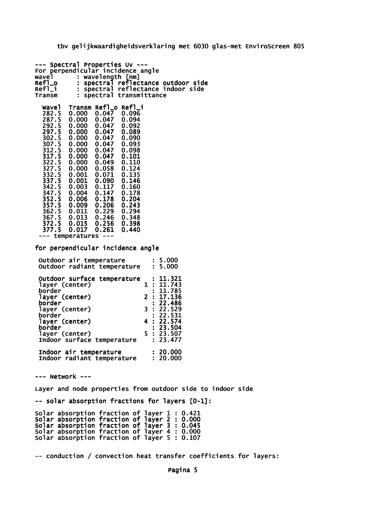tbv gelijkwaardigheidsverklaring met 6030 glas-met EnviroScreen 805

--- Spectral Properties Uv --- For perpendicular incidence angle<br>wavel : wavelength [nm] wavel : wavelength [nm] Refl\_o : spectral reflectance outdoor side Refl\_i : spectral reflectance indoor side Transm : spectral transmittance Wavel Transm Refl\_o Refl\_i 282.5 0.000 0.047 0.096 282.5 0.000 0.047 0.096<br>287.5 0.000 0.047 0.094<br>292.5 0.000 0.047 0.092 292.5 0.000 0.047 0.092 0.000 0.047 0.089<br>0.000 0.047 0.090 302.5 0.000 0.047 0.090 307.5 0.000 0.047 0.093 312.5 0.000 0.047 0.098 0.000 0.047<br>0.000 0.049  $0.000$   $0.049$   $0.110$ <br> $0.000$   $0.058$   $0.124$ 0.000 0.058 0.124<br>0.001 0.071 0.135 322.5 0.000 0.049 0.110<br>327.5 0.000 0.058 0.124<br>332.5 0.001 0.071 0.135<br>337.5 0.001 0.090 0.146  $0.001$  0.090<br>0.003 0.117 342.5 0.003 0.117 0.160 347.5 0.004 0.147 0.178 352.5 0.006 0.178 0.204 357.5 0.009 0.206 0.243 362.5 0.011 0.229 0.294 0.013 0.246 0.348<br>0.015 0.256 0.398 372.5 0.015 0.256 0.398 377.5 0.017 0.261 0.440 --- temperatures -- for perpendicular incidence angle Outdoor air temperature : 5.000<br>Outdoor radiant temperature : 5.000 Outdoor radiant temperature Outdoor surface temperature : 11.321<br>laver (center) 1: 11.743 layer (center)<br>border  $: 11.785$ <br>2 : 17.136 layer (center)<br>border  $: 22.486$ <br>3  $: 22.529$  layer (center) 3 : 22.529 border : 22.531 layer (center)<br>border  $\frac{1}{5}$  : 23.504<br>5 : 23.507 layer (center) 5 : 23.507 Indoor surface temperature Indoor air temperature : 20.000<br>Indoor radiant temperature : 20.000 Indoor radiant temperature --- Network --- Layer and node properties from outdoor side to indoor side -- solar absorption fractions for layers [0-1]: Solar absorption fraction of layer 1 : 0.421 Solar absorption fraction of layer 2 : 0.000 Solar absorption fraction of layer 3 : 0.045 Solar absorption fraction of layer 4 : 0.000 Solar absorption fraction of layer 5 : 0.107

-- conduction / convection heat transfer coefficients for layers:

Pagina 5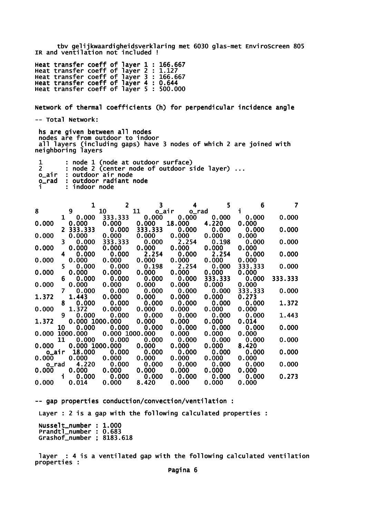tbv gelijkwaardigheidsverklaring met 6030 glas-met EnviroScreen 805 IR and ventilation not included !

Heat transfer coeff of layer 1 : 166.667 Heat transfer coeff of layer 2 : 1.127 Heat transfer coeff of layer 3 : 166.667 Heat transfer coeff of layer 4 : 0.644 Heat transfer coeff of layer 5 : 500.000

Network of thermal coefficients (h) for perpendicular incidence angle

-- Total Network:

 hs are given between all nodes nodes are from outdoor to indoor all layers (including gaps) have 3 nodes of which 2 are joined with neighboring layers

|       | : node 1 (node at outdoor surface)           |
|-------|----------------------------------------------|
|       | : node 2 (center node of outdoor side layer) |
|       | o_air : outdoor air node                     |
| o rad | : outdoor radiant node                       |
|       | : indoor node                                |

|                |              | 1              | $\overline{2}$ | $\overline{\mathbf{3}}$ | 4           | 5       | 6       | 7       |
|----------------|--------------|----------------|----------------|-------------------------|-------------|---------|---------|---------|
| 8              |              | 9              | 10             | 11                      | o_air o_rad |         | i.      |         |
|                | $\mathbf{1}$ | 0.000          | 333.333        | 0.000                   | 0.000       | 0.000   | 0.000   | 0.000   |
| 0.000          |              | 0.000          | 0.000          | 0.000                   | 18.000      | 4.220   | 0.000   |         |
|                |              | 2 333.333      | 0.000          | 333.333                 | 0.000       | 0.000   | 0.000   | 0.000   |
| 0.000          |              | 0.000          | 0.000          | 0.000                   | 0.000       | 0.000   | 0.000   |         |
|                | 3.           | 0.000          | 333.333        | 0.000                   | 2.254       | 0.198   | 0.000   | 0.000   |
| 0.000          |              | 0.000          | 0.000          | 0.000                   | 0.000       | 0.000   | 0.000   |         |
|                | 4            | 0.000          |                | 0.000 2.254             | 0.000       | 2.254   | 0.000   | 0.000   |
| 0.000          |              | 0.000          | 0.000          | 0.000                   | 0.000       | 0.000   | 0.000   |         |
|                | 5.           | 0.000          | 0.000          | 0.198                   | 2.254       | 0.000   | 333.333 | 0.000   |
| 0.000          |              | 0.000          | 0.000          | 0.000                   | 0.000       | 0.000   | 0.000   |         |
|                | 6            | 0.000          | 0.000          | 0.000                   | 0.000       | 333.333 | 0.000   | 333.333 |
| 0.000          |              | 0.000          | 0.000          | 0.000                   | 0.000       | 0.000   | 0.000   |         |
|                | 7            | 0.000          | 0.000          | 0.000                   | 0.000       | 0.000   | 333.333 | 0.000   |
| 1.372          |              | 1.443          | 0.000          | 0.000                   | 0.000       | 0.000   | 0.273   |         |
|                | 8            | 0.000          | 0.000          | 0.000                   | 0.000       | 0.000   | 0.000   | 1.372   |
| 0.000          |              | 1.372          | 0.000          | 0.000                   | 0.000       | 0.000   | 0.000   |         |
|                | 9            | 0.000          | 0.000          | 0.000                   | 0.000       | 0.000   | 0.000   | 1.443   |
| 1.372          |              | 0.000 1000.000 |                | 0.000                   | 0.000       | 0.000   | 0.014   |         |
|                | 10           | 0.000          | 0.000          | 0.000                   | 0.000       | 0.000   | 0.000   | 0.000   |
| 0.000 1000.000 |              |                |                | 0.000 1000.000          | 0.000       | 0.000   | 0.000   |         |
|                | 11           | 0.000          | 0.000          | 0.000                   | 0.000       | 0.000   | 0.000   | 0.000   |
| 0.000          |              | 0.000 1000.000 |                | 0.000                   | 0.000       | 0.000   | 8.420   |         |
| o_air          |              | 18.000         | 0.000          | 0.000                   | 0.000       | 0.000   | 0.000   | 0.000   |
| 0.000          |              | 0.000          | 0.000          | 0.000                   | 0.000       | 0.000   | 0.000   |         |
| o_rad          |              | 4.220          | 0.000          | 0.000                   | 0.000       | 0.000   | 0.000   | 0.000   |
| 0.000          |              | 0.000          | 0.000          | 0.000                   | 0.000       | 0.000   | 0.000   |         |
|                | $\mathbf i$  | 0.000          | 0.000          | 0.000                   | 0.000       | 0.000   | 0.000   | 0.273   |
| 0.000          |              | 0.014          | 0.000          | 8.420                   | 0.000       | 0.000   | 0.000   |         |

-- gap properties conduction/convection/ventilation :

Layer : 2 is a gap with the following calculated properties :

 Nusselt\_number : 1.000 Prandtl\_number : 0.683 Grashof\_number ; 8183.618

 layer : 4 is a ventilated gap with the following calculated ventilation properties :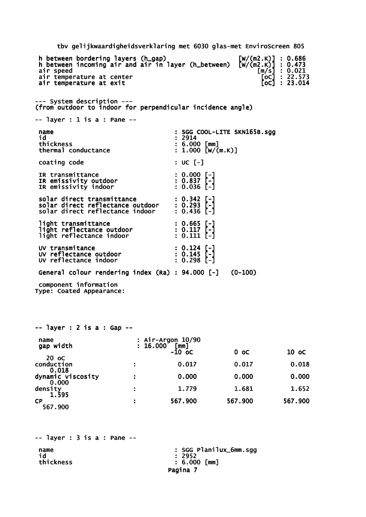tbv gelijkwaardigheidsverklaring met 6030 glas-met EnviroScreen 805 h between bordering layers (h\_gap) [W/(m2.K)] : 0.686 h between incoming air and air in layer (h\_between) [W/(m2.K)] : 0.473 h between bordering layers (h\_gap)<br>
h between incoming air and air in layer (h\_between)  $\begin{bmatrix} w/(m2.K) \\ w/(m2.K) \end{bmatrix}$ : 0.473<br>
air speed  $\begin{bmatrix} m/s \\ \text{air} \end{bmatrix}$ : 0.021<br>
air temperature at center  $\begin{bmatrix} 0 & 0 \\ 0 & 0 \end{bmatrix}$ : 22.5 air temperature at center air temperature at exit --- System description --- (from outdoor to indoor for perpendicular incidence angle) -- layer : 1 is a : Pane - name : SGG COOL-LITE SKN165B.sgg id : 2914 : 6.000 [mm]<br>: 1.000 [W/(m.K)] thermal conductance coating code : UC [-] IR transmittance : 0.000 [-]<br>
IR emissivity outdoor : 0.837 [-]<br>
IR emissivity indoor : 0.036 [-] IR emissivity outdoor IR emissivity indoor solar direct transmittance : 0.342 [-] solar direct reflectance outdoor : 0.293 [-] solar direct transmittance : 0.342 [-]<br>solar direct reflectance outdoor : 0.293 [-]<br>solar direct reflectance indoor : 0.436 [-] light transmittance : 0.665 [-] light reflectance outdoor : 0.117 [-] light reflectance indoor : 0.111 [-] UV transmitance : 0.124 [-]<br>UV reflectance outdoor : 0.145 [-] UV reflectance outdoor : 0.145 [-] UV reflectance indoor : 0.298 [-] General colour rendering index (Ra) : 94.000 [-] (0-100) component information Type: Coated Appearance: -- layer : 2 is a : Gap --

| name<br>gap width |   | : Air-Argon 10/90<br>: 16.000 [mm] |         |         |
|-------------------|---|------------------------------------|---------|---------|
|                   |   | $-10$ oc                           | $0$ oc  | $10$ oc |
| 20 oC             |   |                                    |         |         |
| conduction        |   | 0.017                              | 0.017   | 0.018   |
| 0.018             |   |                                    |         |         |
| dynamic viscosity | н | 0.000                              | 0.000   | 0.000   |
| 0.000             |   |                                    |         |         |
| density<br>1.595  | Н | 1.779                              | 1.681   | 1.652   |
| <b>CP</b>         |   | 567.900                            | 567.900 | 567.900 |
| 567.900           |   |                                    |         |         |
|                   |   |                                    |         |         |

-- layer : 3 is a : Pane - name : SGG Planilux\_6mm.sgg id : 2952

: 6.000 [mm] Pagina 7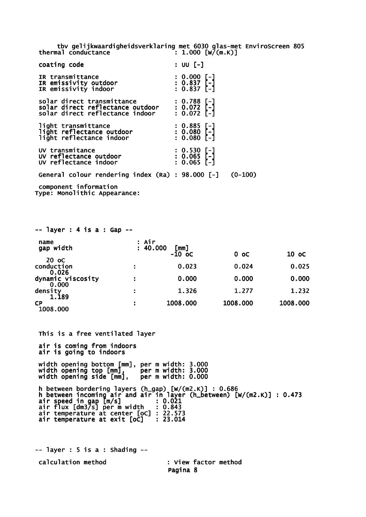tbv gelijkwaardigheidsverklaring met 6030 glas-met EnviroScreen 805 thermal conductance  $\left[ 1.000 \left[ W/(m.K) \right] \right]$ 

| coating code                                                                                                                          | $: 00$ $[-]$                                    |
|---------------------------------------------------------------------------------------------------------------------------------------|-------------------------------------------------|
| IR transmittance<br>IR emissivity outdoor<br>IR emissivity indoor                                                                     | $: 0.000$ [-]<br>: 0.837 [-]<br>: 0.837 [-]     |
| solar direct transmittance : 0.788 [-]<br>solar direct reflectance outdoor : 0.072 [-]<br>solar direct reflectance indoor : 0.072 [-] |                                                 |
| light transmittance<br>light reflectance outdoor<br>light reflectance indoor                                                          | : 0.885 [-]<br>: 0.080 [-]<br>$: 0.080$ [-]     |
| UV transmitance<br>UV reflectance outdoor<br>UV reflectance indoor                                                                    | $: 0.530$ [-]<br>$: 0.065$ [-]<br>$: 0.065$ [-] |
| General colour rendering index (Ra) : 98.000 [-]                                                                                      | $(0-100)$                                       |
| component information<br>Type: Monolithic Appearance:                                                                                 |                                                 |

| $--$ layer : 4 is a : Gap $--$      |                   |                  |          |          |
|-------------------------------------|-------------------|------------------|----------|----------|
| name<br>gap width                   | : Air<br>: 40.000 | [mm]<br>$-10$ oc | $0$ oc   | 10 oC    |
| 20 oC<br>conduction                 |                   | 0.023            | 0.024    | 0.025    |
| 0.026<br>dynamic viscosity<br>0.000 |                   | 0.000            | 0.000    | 0.000    |
| density<br>1.189                    |                   | 1.326            | 1.277    | 1.232    |
| СP<br>1008.000                      |                   | 1008.000         | 1008.000 | 1008.000 |

 This is a free ventilated layer air is coming from indoors air is going to indoors width opening bottom [mm], per m width: 3.000 width opening top [mm], per m width: 3.000 width opening side [mm], per m width: 0.000 h between bordering layers (h\_gap) [W/(m2.K)] : 0.686 h between incoming air and air in layer (h\_between) [W/(m2.K)] : 0.473 air speed in gap [m/s] : 0.021 air flux [dm3/s] per m width : 0.843 air temperature at center [oC] : 22.573 air temperature at exit [oC] : 23.014

 $--$  layer : 5 is a : Shading  $-$  calculation method : View factor method Pagina 8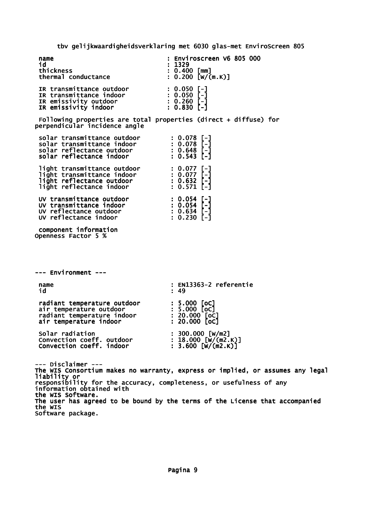tbv gelijkwaardigheidsverklaring met 6030 glas-met EnviroScreen 805

|                                                                                                                                                                                                | CDA ACTIVING CITATION CONTROL IN THE COLLECTION OF THE CONTROL CONTROL CONTROL COMMUNISMENT CONTROL CONTROL COM                                                                                                                       |
|------------------------------------------------------------------------------------------------------------------------------------------------------------------------------------------------|---------------------------------------------------------------------------------------------------------------------------------------------------------------------------------------------------------------------------------------|
| name<br>id<br>thickness<br>thermal conductance                                                                                                                                                 | Enviroscreen V6 805 000<br>: 1329<br>$: 0.400$ [mm]<br>$: 0.200$ [W/(m.K)]                                                                                                                                                            |
| IR transmittance outdoor : 0.050 [-]<br>IR transmittance indoor : 0.050 [-]<br>IR emissivity outdoor : 0.260 [-]<br>IR emissivity indoor : 0.830 [-]                                           |                                                                                                                                                                                                                                       |
| perpendicular incidence angle                                                                                                                                                                  | Following properties are total properties (direct $+$ diffuse) for                                                                                                                                                                    |
| solar transmittance outdoor : 0.078 [-]<br>solar transmittance indoor : 0.078 [-]<br>solar reflectance outdoor : 0.648 [-]<br>solar reflectance indoor : 0.543 [-]                             |                                                                                                                                                                                                                                       |
| 1ight transmittance outdoor : 0.077 [-]<br>1ight transmittance indoor : 0.077 [-]<br>1ight reflectance outdoor : 0.632 [-]<br>1ight reflectance indoor : 0.571 [-]                             |                                                                                                                                                                                                                                       |
| UV transmittance outdoor : 0.054 [-]<br>UV transmittance indoor : 0.054 [-]<br>UV reflectance outdoor : 0.634 [-]<br>UV reflectance indoor : 0.230 [-]                                         |                                                                                                                                                                                                                                       |
| component information<br>Openness Factor 5 %                                                                                                                                                   |                                                                                                                                                                                                                                       |
|                                                                                                                                                                                                |                                                                                                                                                                                                                                       |
| --- Environment ---                                                                                                                                                                            |                                                                                                                                                                                                                                       |
| name<br>id                                                                                                                                                                                     | : EN13363-2 referentie<br>: 49                                                                                                                                                                                                        |
| radiant temperature outdoor : 5.000 [oc]<br>air temperature outdoor : 5.000 [oc]<br>radiant temperature indoor : 20.000 [oc]<br>air temperature indoor : 20.000 [oc]<br>air temperature indoor | $: 20.000$ [oC]                                                                                                                                                                                                                       |
| Solar radiation<br>Convection coeff. outdoor : 18.000 [w/(m2.K)]<br>Convection coeff. indoor : 3.600 [w/(m2.K)]                                                                                | : 300.000 [w/m2]                                                                                                                                                                                                                      |
| --- Disclaimer ---<br>liability or<br>information obtained with<br>the WIS Software.                                                                                                           | The WIS Consortium makes no warranty, express or implied, or assumes any legal<br>responsibility for the accuracy, completeness, or usefulness of any<br>The user has agreed to be bound by the terms of the License that accompanied |

the WIS Software package.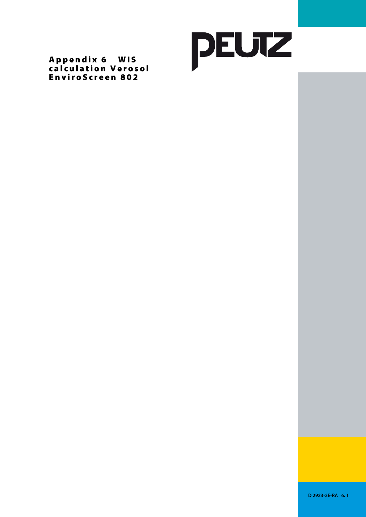

Appendix 6 WIS calculation Verosol EnviroScreen 802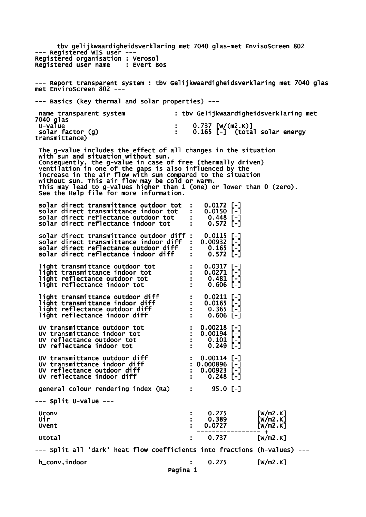tbv gelijkwaardigheidsverklaring met 7040 glas-met EnvisoScreen 802 --- Registered WIS user --- Registered organisation : Verosol<br>Registered user name : Evert Bos Registered user name --- Report transparent system : tbv Gelijkwaardigheidsverklaring met 7040 glas met EnviroScreen 802 --- --- Basics (key thermal and solar properties) -- name transparent system : tbv Gelijkwaardigheidsverklaring met 7040 glas<br>U-value :  $0.737$  [W/(m2.K)]  $0.165$   $\overline{$  -1 (total solar energy solar factor (g)<br>transmittance) The g-value includes the effect of all changes in the situation with sun and situation without sun. Consequently, the g-value in case of free (thermally driven) ventilation in one of the gaps is also influenced by the increase in the air flow with sun compared to the situation without sun. This air flow may be cold or warm. This may lead to g-values higher than 1 (one) or lower than 0 (zero). See the Help file for more information. solar direct transmittance outdoor tot : 0.0172 [-]<br>solar direct transmittance indoor tot : 0.0150 [-]<br>solar direct reflectance outdoor tot : 0.448 [-] solar direct transmittance indoor tot : 0.0150<br>solar direct reflectance outdoor tot : 0.448 solar direct reflectance outdoor tot : 0.448 [-] solar direct reflectance indoor tot : 0.572 [-] solar direct transmittance outdoor diff : 0.0115 [-]<br>solar direct transmittance indoor diff : 0.00932 [-] solar direct transmittance indoor diff : 0.00932 [-]<br>solar direct reflectance outdoor diff : 0.165 [-]<br>solar direct reflectance indoor diff : 0.572 [-] solar direct reflectance outdoor diff : 0.165 [-] solar direct reflectance indoor diff : 0.572 [-] light transmittance outdoor tot : 0.0317 [-]<br>light transmittance indoor tot : 0.0271 [-]<br>light reflectance outdoor tot : 0.481 [-] light transmittance indoor tot : 0.0271 [-] light reflectance outdoor tot : 0.481 [-] light reflectance indoor tot : light transmittance outdoor diff : 0.0211 [-] light transmittance indoor diff  $\qquad \qquad : \qquad 0.0165$  [-] light reflectance outdoor diff : 0.365 [-] light reflectance outdoor diff  $\begin{array}{ccc} 1 \text{ right} & \text{reflectance} & \text{outdoor} & \text{diff} & \text{if} & 0.606 & [-] \end{array}$  UV transmittance outdoor tot : 0.00218 [-] UV transmittance indoor tot : 0.00194 [-] UV transmittance outdoor tot : 0.00218 [-]<br>
UV transmittance indoor tot : 0.00194 [-]<br>
UV reflectance outdoor tot : 0.101 [-]<br>
UV reflectance indoor tot : 0.249 [-] UV reflectance indoor tot UV transmittance outdoor diff  $\qquad \qquad : \quad 0.00114$  [-] UV transmittance indoor diff : 0.000896 [-] UV reflectance outdoor diff  $\cdot$  : 0.00923 [-] UV reflectance indoor diff  $\sim$  : 0.248 [-] qeneral colour rendering index (Ra) : 95.0 [-] --- Split U-value --- Uconv : 0.275 [W/m2.K] Uir : 0.389 [W/m2.K] Uvent : 0.0727 [W/m2.K] ----------------- + Utotal : 0.737 [W/m2.K] --- Split all 'dark' heat flow coefficients into fractions (h-values) -- h\_conv,indoor : 0.275 [W/m2.K] Pagina 1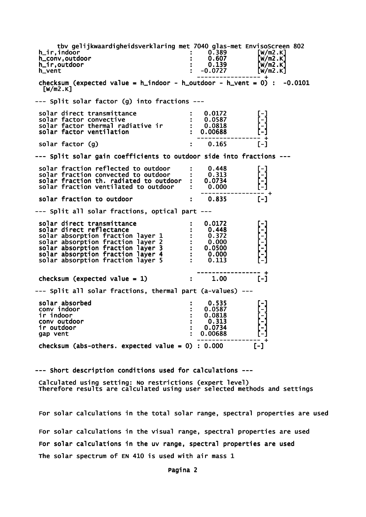tbv gelijkwaardigheidsverklaring met 7040 glas-met EnvisoScreen 802 h\_ir,indoor : 0.389 [W/m2.K] h\_conv,outdoor : 0.607 [W/m2.K] h\_ir,outdoor : 0.139 [W/m2.K]  $h$ \_vent  $\bar{h}$   $\bar{h}$   $\bar{h}$   $\bar{h}$   $\bar{h}$   $\bar{h}$   $\bar{h}$   $\bar{h}$   $\bar{h}$   $\bar{h}$   $\bar{h}$   $\bar{h}$   $\bar{h}$   $\bar{h}$   $\bar{h}$   $\bar{h}$   $\bar{h}$   $\bar{h}$   $\bar{h}$   $\bar{h}$   $\bar{h}$   $\bar{h}$   $\bar{h}$   $\bar{h}$   $\bar{h}$   $\bar{h}$   $\bar{$  ----------------- + checksum (expected value =  $h$ \_indoor -  $h$ \_outdoor -  $h$ \_vent = 0) : -0.0101  $\lceil W/m2.K\rceil$ --- Split solar factor (g) into fractions -- solar direct transmittance  $\qquad \qquad : \quad 0.0172 \qquad \qquad [-]$  solar factor convective : 0.0587 [-] solar factor thermal radiative ir : 0.0818 [-] solar factor ventilation : 0.00688 ----------------- +  $solar$  factor  $(g)$   $: 0.165$ --- Split solar gain coefficients to outdoor side into fractions -- solar fraction reflected to outdoor : 0.448<br>solar fraction convected to outdoor : 0.313 solar fraction convected to outdoor  $\cdot$  0.313<br>solar fraction th. radiated to outdoor : 0.0734 solar fraction th. radiated to outdoor : 0.0734<br>solar fraction ventilated to outdoor : 0.000 solar fraction ventilated to outdoor ----------------- + solar fraction to outdoor  $\qquad \qquad : \qquad 0.835$  [-] --- Split all solar fractions, optical part -- solar direct transmittance : 0.0172 [-] solar direct reflectance : 0.448<br>solar absorption fraction layer 1 : 0.372 solar absorption fraction layer 1 : 0.372<br>solar absorption fraction layer 2 : 0.000 solar absorption fraction layer 2 : 0.000 [-] solar absorption fraction layer 3 : 0.0500 [-] solar absorption fraction layer 4 : 0.000 [-] solar absorption fraction layer  $5$  : 0.113 ----------------- + checksum (expected value = 1)  $\qquad \qquad$  :  $\qquad 1.00$  [-] --- Split all solar fractions, thermal part (a-values) -- solar absorbed : 0.535 [-] conv indoor : 0.0587 [-] ir indoor : 0.0818 [-] conv outdoor  $\begin{array}{ccc} . & . & . & . \\ . & . & . & . \\ . & . & . & . & . \\ . & . & . & . & . \end{array}$  ir outdoor : 0.0734 [-] gap vent ----------------- + checksum (abs-others. expected value =  $0$ ) : 0.000 [-]

--- Short description conditions used for calculations ---

 Calculated using setting: No restrictions (expert level) Therefore results are calculated using user selected methods and settings

 For solar calculations in the total solar range, spectral properties are used For solar calculations in the visual range, spectral properties are used For solar calculations in the uv range, spectral properties are used The solar spectrum of EN 410 is used with air mass 1

Pagina 2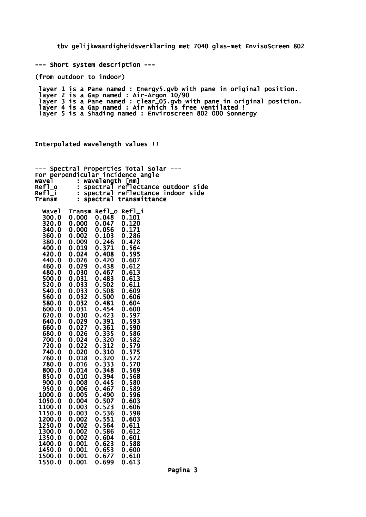tbv gelijkwaardigheidsverklaring met 7040 glas-met EnvisoScreen 802

--- Short system description ---

(from outdoor to indoor)

 layer 1 is a Pane named : Energy5.gvb with pane in original position. layer 2 is a Gap named : Air-Argon 10/90 layer 3 is a Pane named : clear\_05.gvb with pane in original position. layer 4 is a Gap named : Air which is free ventilated ! layer 5 is a Shading named : Enviroscreen 802 000 Sonnergy

Interpolated wavelength values !!

| Spectral<br>For |                      |                | Properties Total Solar<br>perpendicular incidence angle |
|-----------------|----------------------|----------------|---------------------------------------------------------|
| wavel           | $\ddot{\phantom{a}}$ |                | wavelength [nm]                                         |
| Ref1_o          | t,                   | spectral       | reflectance outdoor side                                |
| Refl_i          | Ì,                   | spectral       | reflectance indoor side                                 |
| Transm          | $\ddot{\phantom{a}}$ | spectral       | transmittance                                           |
| <b>Wavel</b>    | Transm Refl_o        |                | Ref1_i                                                  |
| 300.0           | 0.000                | 0.048          | 0.101                                                   |
| 320.0           | 0.000                | 0.047          | 0.120                                                   |
| 340.0           | 0.000                | 0.056          | 0.171                                                   |
| 360.0           | 0.002                | 0.103          | 0.286                                                   |
| 380.0           | 0.009                | 0.246          | 0.478                                                   |
| 400.0           | 0.019                | 0.371          | 0.564                                                   |
| 420.0           | 0.024                | 0.408          | 0.595                                                   |
| 440.0           | 0.026                | 0.420          | 0.607                                                   |
| 460.0           | 0.029                | 0.438          | 0.612                                                   |
| 480.0           | 0.030                | 0.467          | 0.613                                                   |
| 500.0           | 0.031                | 0.483          | 0.613                                                   |
| 520.0           | 0.033                | 0.502          | 0.611                                                   |
| 540.0           | 0.033                | 0.508          | 0.609                                                   |
| 560.0           | 0.032                | 0.500          | 0.606                                                   |
| 580.0           | 0.032                | 0.481          | 0.604                                                   |
| 600.0           | 0.031                | 0.454          | 0.600                                                   |
| 620.0           | 0.030                | 0.423          | 0.597                                                   |
| 640.0           | 0.029                | 0.391          | 0.593                                                   |
| 660.0<br>680.0  | 0.027<br>0.026       | 0.361<br>0.335 | 0.590<br>0.586                                          |
| 700.0           | 0.024                | 0.320          | 0.582                                                   |
| 720.0           | 0.022                | 0.312          | 0.579                                                   |
| 740.0           | 0.020                | 0.310          | 0.575                                                   |
| 760.0           | 0.018                | 0.320          | 0.572                                                   |
| 780.0           | 0.016                | 0.333          | 0.570                                                   |
| 800.0           | 0.014                | 0.348          | 0.569                                                   |
| 850.0           | 0.010                | 0.394          | 0.568                                                   |
| 900.0           | 0.008                | 0.445          | 0.580                                                   |
| 950.0           | 0.006                | 0.467          | 0.589                                                   |
| 1000.0          | 0.005                | 0.490          | 0.596                                                   |
| 1050.0          | 0.004                | 0.507          | 0.603                                                   |
| 1100.0          | 0.003                | 0.523          | 0.606                                                   |
| 1150.0          | 0.003                | 0.536          | 0.598                                                   |
| 1200.0          | 0.002                | 0.551          | 0.603                                                   |
| 1250.0          | 0.002                | 0.564          | 0.611                                                   |
| 1300.0          | 0.002                | 0.586          | 0.612                                                   |
| 1350.0          | 0.002                | 0.604          | 0.601                                                   |
| 1400.0          | 0.001                | 0.623          | 0.588                                                   |
| 1450.0          | 0.001                | 0.653          | 0.600                                                   |
| 1500.0          | 0.001                | 0.677          | 0.610                                                   |

1550.0 0.001 0.699 0.613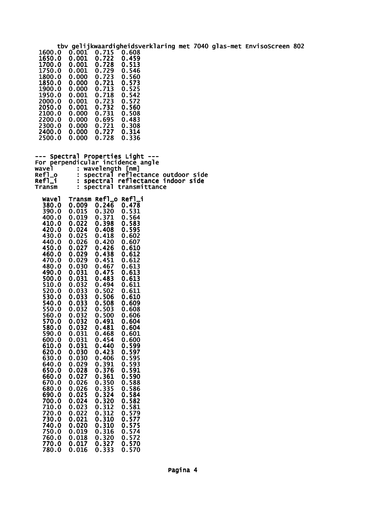tbv gelijkwaardigheidsverklaring met 7040 glas-met EnvisoScreen 802 0.001 0.715 0.608<br>0.001 0.722 0.459<br>0.001 0.728 0.513 1650.0 0.001 0.722 0.459 1700.0 0.001 0.728 0.513 1750.0 0.001 0.729 0.546 1800.0 0.000 0.723 0.560 1850.0 0.000 0.721 0.573 1850.0 0.000 0.721 0.573<br>1900.0 0.000 0.713 0.525<br>1950.0 0.001 0.718 0.542 1950.0 0.001 0.718 0.542 2000.0 0.001 0.723 0.572 2050.0 0.001 0.732 0.560 2050.0 0.001 0.732 0.560<br>2100.0 0.000 0.731 0.508<br>2200.0 0.000 0.695 0.483 2100.0 0.000 0.731 0.508<br>2200.0 0.000 0.695 0.483<br>2300.0 0.000 0.721 0.308  $0.000$   $0.721$ <br>0.000 0.727 2400.0 0.000 0.727 0.314 2500.0 --- Spectral Properties Light ---For perpendicular incidence angle<br>wavel : wavelength [nm] wavel : wavelength [nm] Refl\_o : spectral reflectance outdoor side Refl\_i : spectral reflectance indoor side Transm : spectral transmittance Wavel Transm Refl\_o Refl\_i 380.0 0.009 0.246 0.478 390.0 0.015 0.320 0.531 0.371 0.564<br>0.398 0.583 410.0 0.022 0.398 0.583 420.0 0.024 0.408 0.595 430.0 0.025 0.418 0.602<br>440.0 0.026 0.420 0.607<br>450.0 0.027 0.426 0.610<br>460.0 0.029 0.438 0.612 440.0 0.026 0.420 0.607 450.0 0.027 0.426 0.610 460.0 0.029 0.438 0.612 470.0 0.029 0.451 0.612 480.0 0.030 0.467 0.613 490.0 0.031 0.475 0.613 500.0 0.031 0.483 0.613 510.0 0.032 0.494 0.611 520.0 0.033 0.502 0.611 530.0 0.033 0.506 0.610<br>540.0 0.033 0.508 0.609<br>550.0 0.032 0.503 0.608 540.0 0.033 0.508 0.609 550.0 0.032 0.503 0.608 560.0 0.032 0.500 0.606 570.0 0.032 0.491 0.604 580.0 0.032 0.481 0.604 590.0 0.031 0.468 0.601 600.0 0.031 0.454 0.600 610.0 0.031 0.440 0.599 620.0 0.030 0.423 0.597 630.0 0.030 0.406 0.595 640.0 0.029 0.391 0.593 650.0 0.028 0.376 0.591 660.0 0.027 0.361 0.590 670.0 0.026 0.350 0.588 680.0 0.026 0.335 0.586 670.0 0.026 0.350 0.588<br>680.0 0.026 0.335 0.586<br>690.0 0.025 0.324 0.584<br>700.0 0.024 0.320 0.582 700.0 0.024 0.320 0.582 710.0 0.023 0.312 0.581 720.0 0.022 0.312 0.579 730.0 0.021 0.310 0.577 720.0 0.022 0.312 0.579<br>730.0 0.021 0.310 0.577<br>740.0 0.020 0.310 0.575<br>750.0 0.019 0.316 0.574 750.0 0.019 0.316 0.574 760.0 0.018 0.320 0.572 770.0 0.017 0.327 0.570

780.0 0.016 0.333 0.570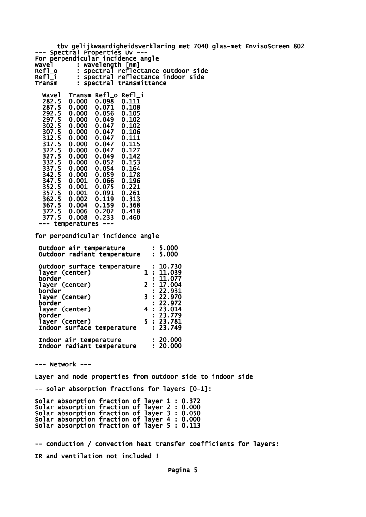tbv gelijkwaardigheidsverklaring met 7040 glas-met EnvisoScreen 802 --- Spectral Properties Uv --- For perpendicular incidence angle wavel : wavelength [nm] Refl\_o : spectral reflectance outdoor side Refl\_i : spectral reflectance indoor side<br>Transm : spectral transmittance : spectral transmittance Wavel Transm Refl\_o Refl\_i 282.5 0.000 0.098<br>287.5 0.000 0.071 287.5 0.000 0.071 0.108 292.5 0.000 0.056 0.105 297.5 0.000 0.049 0.102 302.5 0.000 0.047 0.102 0.000 0.047 0.106<br>0.000 0.047 0.111 312.5 0.000 0.047 0.111 0.000 0.047 0.115<br>0.000 0.047 0.127 322.5 0.000 0.047 0.127<br>327.5 0.000 0.049 0.142<br>332.5 0.000 0.052 0.153 327.5 0.000 0.049 0.142 0.000 0.052 0.153<br>0.000 0.054 0.164 0.000 0.054 0.164<br>0.000 0.059 0.178 342.5 0.000 0.059 0.178 347.5 0.001 0.066 0.196 352.5 0.001 0.075 0.221 352.5 0.001 0.075<br>357.5 0.001 0.091<br>362.5 0.002 0.119 0.002 0.119 0.313<br>0.004 0.159 0.368 367.5 0.004 0.159 0.368 372.5 0.006 0.202 0.418  $0.008$  --- temperatures -- for perpendicular incidence angle Outdoor air temperature : 5.000 Outdoor radiant temperature : 5.000 Outdoor surface temperature : 10.730<br>11.039 1: 1 layer (center)<br>border  $: 11.077$ <br>2 : 17.004 layer (center) 2 : 17.004 border : 22.931 layer (center)<br>border  $3: 22.970$ <br> $: 22.972$ <br> $4: 23.014$  layer (center) 4 : 23.014  $\begin{array}{cc} : & 23.779 \\ 5 & : & 23.781 \end{array}$  layer (center) 5 : 23.781 Indoor surface temperature Indoor air temperature : 20.000 Indoor radiant temperature : 20.000 --- Network --- Layer and node properties from outdoor side to indoor side -- solar absorption fractions for layers [0-1]: Solar absorption fraction of layer 1 : 0.372 Solar absorption fraction of layer 2 : 0.000 Solar absorption fraction of layer 3 : 0.050 Solar absorption fraction of layer 4 : 0.000 Solar absorption fraction of layer 5 : 0.113 -- conduction / convection heat transfer coefficients for layers: IR and ventilation not included ! Pagina 5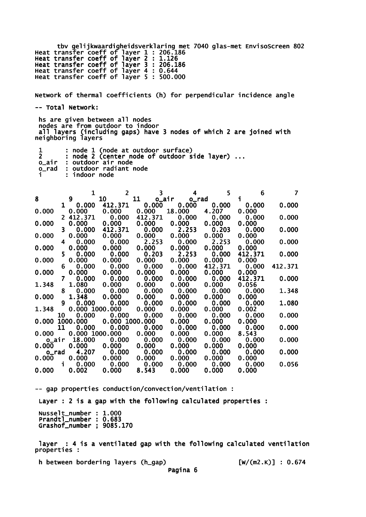tbv gelijkwaardigheidsverklaring met 7040 glas-met EnvisoScreen 802 Heat transfer coeff of layer 1 : 206.186 Heat transfer coeff of layer 2 : 1.126 Heat transfer coeff of layer 3 : 206.186 Heat transfer coeff of layer 4 : 0.644 Heat transfer coeff of layer 5 : 500.000

Network of thermal coefficients (h) for perpendicular incidence angle -- Total Network:

 hs are given between all nodes nodes are from outdoor to indoor all layers (including gaps) have 3 nodes of which 2 are joined with neighboring layers

|       | : node 1 (node at outdoor surface)           |
|-------|----------------------------------------------|
|       | : node 2 (center node of outdoor side layer) |
|       | o_air : outdoor air node                     |
| o rad | : outdoor radiant node                       |
|       | : indoor node                                |

|                |              | 1               | $\overline{2}$ | 3           | 4           | 5       | 6       |         |
|----------------|--------------|-----------------|----------------|-------------|-------------|---------|---------|---------|
| 8              |              | 9               | 10             | 11          | o_air o_rad |         | i.      |         |
|                |              | $1 \quad 0.000$ | 412.371        | 0.000       | 0.000       | 0.000   | 0.000   | 0.000   |
| 0.000          |              | 0.000           | 0.000          | 0.000       | 18.000      | 4.207   | 0.000   |         |
|                |              | 2 412.371       | 0.000          | 412.371     | 0.000       | 0.000   | 0.000   | 0.000   |
| 0.000          |              | 0.000           | 0.000          | 0.000       | 0.000       | 0.000   | 0.000   |         |
|                | 3.           | 0.000           | 412.371        | 0.000       | 2.253       | 0.203   | 0.000   | 0.000   |
| 0.000          |              | 0.000           | 0.000          | 0.000       | 0.000       | 0.000   | 0.000   |         |
|                | 4            | 0.000           | 0.000          | 2.253       | 0.000       | 2.253   | 0.000   | 0.000   |
| 0.000          |              | 0.000           | 0.000          | 0.000       | 0.000       | 0.000   | 0.000   |         |
|                | 5.           | 0.000           | 0.000          | 0.203       | 2.253       | 0.000   | 412.371 | 0.000   |
| 0.000          |              | 0.000           | 0.000          | 0.000       | 0.000       | 0.000   | 0.000   |         |
|                | 6            | 0.000           | 0.000          | 0.000       | 0.000       | 412.371 | 0.000   | 412.371 |
| 0.000          |              | 0.000           | 0.000          | 0.000       | 0.000       | 0.000   | 0.000   |         |
|                | $\mathbf{7}$ | 0.000           | 0.000          | 0.000       | 0.000       | 0.000   | 412.371 | 0.000   |
| 1.348          |              | 1.080           | 0.000          | 0.000       | 0.000       | 0.000   | 0.056   |         |
|                | 8            | 0.000           | 0.000          | 0.000       | 0.000       | 0.000   | 0.000   | 1.348   |
| 0.000          |              | 1.348           | 0.000          | 0.000       | 0.000       | 0.000   | 0.000   |         |
|                | 9            | 0.000           |                | 0.000 0.000 | 0.000       | 0.000   | 0.000   | 1.080   |
| 1.348          |              | 0.000 1000.000  |                | 0.000       | 0.000       | 0.000   | 0.002   |         |
|                | 10           | 0.000           | 0.000          | 0.000       | 0.000       | 0.000   | 0.000   | 0.000   |
| 0.000 1000.000 |              |                 | 0.000 1000.000 |             | 0.000       | 0.000   | 0.000   |         |
|                | 11           | 0.000           | 0.000          | 0.000       | 0.000       | 0.000   | 0.000   | 0.000   |
| 0.000          |              | 0.000 1000.000  |                | 0.000       | 0.000       | 0.000   | 8.543   |         |
| o_air          |              | 18.000          | 0.000          | 0.000       | 0.000       | 0.000   | 0.000   | 0.000   |
| 0.000          |              | 0.000           | 0.000          | 0.000       | 0.000       | 0.000   | 0.000   |         |
| o_rad          |              | 4.207           | 0.000          | 0.000       | 0.000       | 0.000   | 0.000   | 0.000   |
| 0.000          | i            | 0.000           | 0.000          | 0.000       | 0.000       | 0.000   | 0.000   |         |
|                |              | 0.000           | 0.000          | 0.000       | 0.000       | 0.000   | 0.000   | 0.056   |
| 0.000          |              | 0.002           | 0.000          | 8.543       | 0.000       | 0.000   | 0.000   |         |

-- gap properties conduction/convection/ventilation : Layer : 2 is a gap with the following calculated properties : Nusselt\_number : 1.000 Prandtl\_number : 0.683 Grashof\_number ; 9085.170

 layer : 4 is a ventilated gap with the following calculated ventilation properties :

h between bordering layers (h\_gap) [W/(m2.K)] : 0.674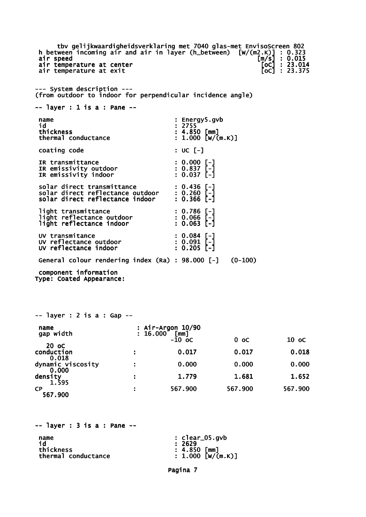tbv gelijkwaardigheidsverklaring met 7040 glas-met EnvisoScreen 802<br>ween incoming air and air in layer (h\_between) [w/(m2.K)] : 0.323<br>peed [m/s] : 0.015<br>emperature at center [oc] : 23.014 h between incoming air and air in layer (h\_between) air speed [m/s] : 0.015 air temperature at center [oC] : 23.014 air temperature at exit  $\overline{[} \circ \overline{c} ]$  : 23.375 --- System description --- (from outdoor to indoor for perpendicular incidence angle) -- layer : 1 is a : Pane - name : Energy5.gvb<br>id : 2755 id : 2755  $\frac{1}{2}$  : 4.850 [mm]<br>: 1.000 [w/(m.K)] thermal conductance coating code : UC [-] IR transmittance : 0.000 [-]<br>
IR emissivity outdoor : 0.837 [-]<br>
IR emissivity indoor : 0.037 [-] IR emissivity outdoor : 0.837 [-] IR emissivity indoor : 0.037 [-] solar direct transmittance : 0.436 [-] solar direct reflectance outdoor : 0.260 [-] solar direct reflectance indoor : 0.366 [-] light transmittance : 0.786 [-]<br>light reflectance outdoor : 0.066 [-]<br>light reflectance indoor : 0.063 [-] light reflectance outdoor : 0.066 [-] light reflectance indoor : 0.063 [-] UV transmitance : 0.084 [-] UV reflectance outdoor : 0.091 [-] UV reflectance indoor : 0.205 [-] General colour rendering index (Ra) : 98.000 [-] (0-100) component information Type: Coated Appearance: -- layer : 2 is a : Gap - name : Air-Argon 10/90<br>
gap width : 16.000 [mm]  $\begin{bmatrix} 16.000 & \texttt{[mm]} \\ -10 & \texttt{oc} \end{bmatrix}$  $-10 \text{ oc}$  0 oc 10 oc  $-10 \text{ oc}$  20 oC conduction : 0.017 0.017 0.018 0.018 dynamic viscosity  $\hspace{1.6cm}$ : 0.000 0.000 0.000 0.000 density : 1.779 1.681 1.652 1.595 CP : 567.900 567.900 567.900 567.900  $--$  layer : 3 is a : Pane  $-$ name : clear\_05.gvb

 id : 2629 thickness :  $\frac{1}{4.850}$  [mm]<br>thermal conductance : 1.000 [W/(m.K)] thermal conductance

Pagina 7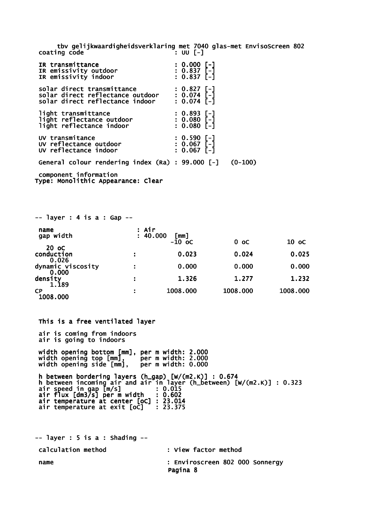tbv gelijkwaardigheidsverklaring met 7040 glas-met EnvisoScreen 802 coating code : UU [-]

| IR transmittance<br>IR emissivity outdoor<br>IR emissivity indoor                                             | $: 0.000[-]$<br>$: 0.837$ [-]<br>$: 0.837$ [-]             |           |
|---------------------------------------------------------------------------------------------------------------|------------------------------------------------------------|-----------|
| solar direct transmittance<br>solar direct reflectance outdoor : 0.074 [-]<br>solar direct reflectance indoor | : 0.827[-]<br>$: 0.074$ [-]                                |           |
| light transmittance<br>light reflectance outdoor<br>light reflectance indoor                                  | $: 0.893$ [-]<br>$: 0.080$ [-]<br>: 0.080<br>$: 0.080$ [-1 |           |
| UV transmitance<br>UV reflectance outdoor<br>UV reflectance indoor                                            | : 0.590 [-]<br>: 0.067 [-]<br>$: 0.067$ [-]                |           |
| General colour rendering index (Ra) : 99.000 [-]                                                              |                                                            | $(0-100)$ |
| component information                                                                                         |                                                            |           |

Type: Monolithic Appearance: Clear

 $--$  layer : 5 is a : Shading  $--$ 

| $--$ layer : 4 is a : Gap $--$ |       |                              |                |          |
|--------------------------------|-------|------------------------------|----------------|----------|
| name<br>gap width              | : Air | : 40.000<br>[mm]<br>$-10$ oC | 0 <sub>o</sub> | 10 oC    |
| 20 oC<br>conduction<br>0.026   |       | 0.023                        | 0.024          | 0.025    |
| dynamic viscosity<br>0.000     | ÷     | 0.000                        | 0.000          | 0.000    |
| density<br>1.189               | ÷     | 1.326                        | 1.277          | 1.232    |
| <b>CP</b><br>1008.000          |       | 1008.000                     | 1008.000       | 1008.000 |

 This is a free ventilated layer air is coming from indoors air is going to indoors width opening bottom [mm], per m width: 2.000 width opening top [mm], per m width: 2.000 width opening side [mm], per m width: 0.000 h between bordering layers (h\_gap) [W/(m2.K)] : 0.674 h between incoming air and air in layer (h\_between) [W/(m2.K)] : 0.323 air speed in gap [m/s] : 0.015 air flux [dm3/s] per m width : 0.602 air temperature at center [oC] : 23.014 air temperature at exit [oC] : 23.375

 calculation method : View factor method name : Enviroscreen 802 000 Sonnergy Pagina 8